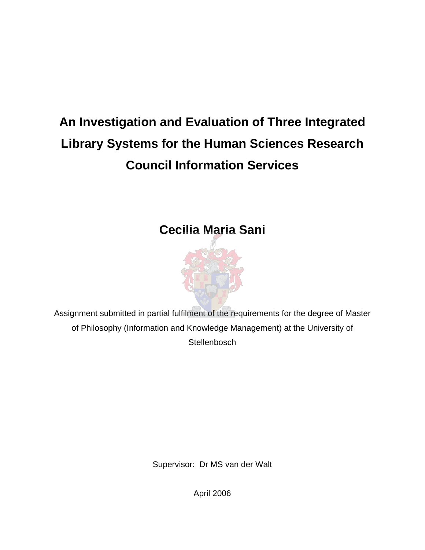# **An Investigation and Evaluation of Three Integrated Library Systems for the Human Sciences Research Council Information Services**

# **Cecilia Maria Sani**



Assignment submitted in partial fulfilment of the requirements for the degree of Master of Philosophy (Information and Knowledge Management) at the University of **Stellenbosch** 

Supervisor: Dr MS van der Walt

April 2006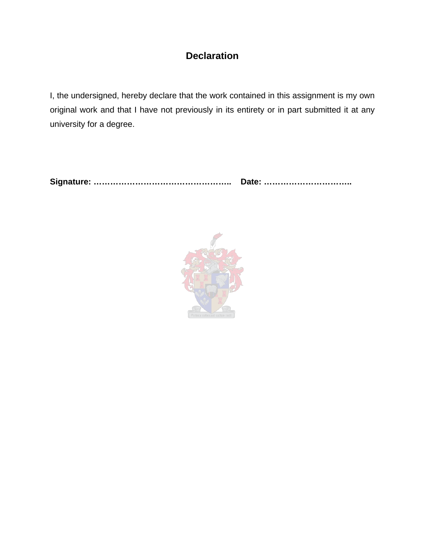# **Declaration**

I, the undersigned, hereby declare that the work contained in this assignment is my own original work and that I have not previously in its entirety or in part submitted it at any university for a degree.

**Signature: ………………………………………….. Date: …………………………..** 

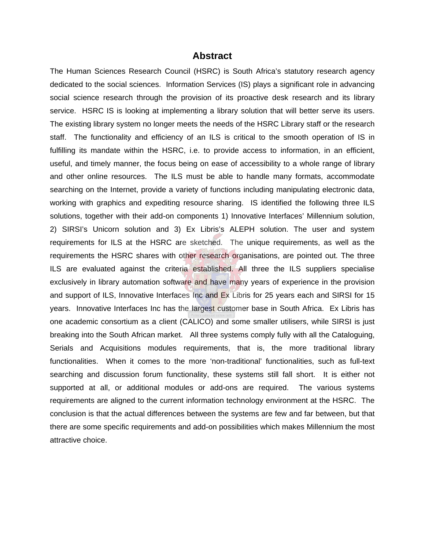#### **Abstract**

The Human Sciences Research Council (HSRC) is South Africa's statutory research agency dedicated to the social sciences. Information Services (IS) plays a significant role in advancing social science research through the provision of its proactive desk research and its library service. HSRC IS is looking at implementing a library solution that will better serve its users. The existing library system no longer meets the needs of the HSRC Library staff or the research staff. The functionality and efficiency of an ILS is critical to the smooth operation of IS in fulfilling its mandate within the HSRC, i.e. to provide access to information, in an efficient, useful, and timely manner, the focus being on ease of accessibility to a whole range of library and other online resources. The ILS must be able to handle many formats, accommodate searching on the Internet, provide a variety of functions including manipulating electronic data, working with graphics and expediting resource sharing. IS identified the following three ILS solutions, together with their add-on components 1) Innovative Interfaces' Millennium solution, 2) SIRSI's Unicorn solution and 3) Ex Libris's ALEPH solution. The user and system requirements for ILS at the HSRC are sketched. The unique requirements, as well as the requirements the HSRC shares with other research organisations, are pointed out. The three ILS are evaluated against the criteria established. All three the ILS suppliers specialise exclusively in library automation software and have many years of experience in the provision and support of ILS, Innovative Interfaces Inc and Ex Libris for 25 years each and SIRSI for 15 years. Innovative Interfaces Inc has the largest customer base in South Africa. Ex Libris has one academic consortium as a client (CALICO) and some smaller utilisers, while SIRSI is just breaking into the South African market. All three systems comply fully with all the Cataloguing, Serials and Acquisitions modules requirements, that is, the more traditional library functionalities. When it comes to the more 'non-traditional' functionalities, such as full-text searching and discussion forum functionality, these systems still fall short. It is either not supported at all, or additional modules or add-ons are required. The various systems requirements are aligned to the current information technology environment at the HSRC. The conclusion is that the actual differences between the systems are few and far between, but that there are some specific requirements and add-on possibilities which makes Millennium the most attractive choice.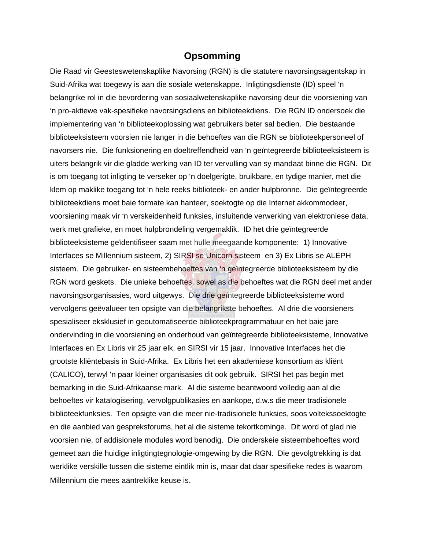#### **Opsomming**

Die Raad vir Geesteswetenskaplike Navorsing (RGN) is die statutere navorsingsagentskap in Suid-Afrika wat toegewy is aan die sosiale wetenskappe. Inligtingsdienste (ID) speel 'n belangrike rol in die bevordering van sosiaalwetenskaplike navorsing deur die voorsiening van 'n pro-aktiewe vak-spesifieke navorsingsdiens en biblioteekdiens. Die RGN ID ondersoek die implementering van 'n biblioteekoplossing wat gebruikers beter sal bedien. Die bestaande biblioteeksisteem voorsien nie langer in die behoeftes van die RGN se biblioteekpersoneel of navorsers nie. Die funksionering en doeltreffendheid van 'n geïntegreerde biblioteeksisteem is uiters belangrik vir die gladde werking van ID ter vervulling van sy mandaat binne die RGN. Dit is om toegang tot inligting te verseker op 'n doelgerigte, bruikbare, en tydige manier, met die klem op maklike toegang tot 'n hele reeks biblioteek- en ander hulpbronne. Die geïntegreerde biblioteekdiens moet baie formate kan hanteer, soektogte op die Internet akkommodeer, voorsiening maak vir 'n verskeidenheid funksies, insluitende verwerking van elektroniese data, werk met grafieke, en moet hulpbrondeling vergemaklik. ID het drie geïntegreerde biblioteeksisteme geïdentifiseer saam met hulle meegaande komponente: 1) Innovative Interfaces se Millennium sisteem, 2) SIRSI se Unicorn sisteem en 3) Ex Libris se ALEPH sisteem. Die gebruiker- en sisteembehoeftes van 'n geïntegreerde biblioteeksisteem by die RGN word geskets. Die unieke behoeftes, sowel as die behoeftes wat die RGN deel met ander navorsingsorganisasies, word uitgewys. Die drie geïntegreerde biblioteeksisteme word vervolgens geëvalueer ten opsigte van die belangrikste behoeftes. Al drie die voorsieners spesialiseer eksklusief in geoutomatiseerde biblioteekprogrammatuur en het baie jare ondervinding in die voorsiening en onderhoud van geïntegreerde biblioteeksisteme, Innovative Interfaces en Ex Libris vir 25 jaar elk, en SIRSI vir 15 jaar. Innovative Interfaces het die grootste kliëntebasis in Suid-Afrika. Ex Libris het een akademiese konsortium as kliënt (CALICO), terwyl 'n paar kleiner organisasies dit ook gebruik. SIRSI het pas begin met bemarking in die Suid-Afrikaanse mark. Al die sisteme beantwoord volledig aan al die behoeftes vir katalogisering, vervolgpublikasies en aankope, d.w.s die meer tradisionele biblioteekfunksies. Ten opsigte van die meer nie-tradisionele funksies, soos voltekssoektogte en die aanbied van gespreksforums, het al die sisteme tekortkominge. Dit word of glad nie voorsien nie, of addisionele modules word benodig. Die onderskeie sisteembehoeftes word gemeet aan die huidige inligtingtegnologie-omgewing by die RGN. Die gevolgtrekking is dat werklike verskille tussen die sisteme eintlik min is, maar dat daar spesifieke redes is waarom Millennium die mees aantreklike keuse is.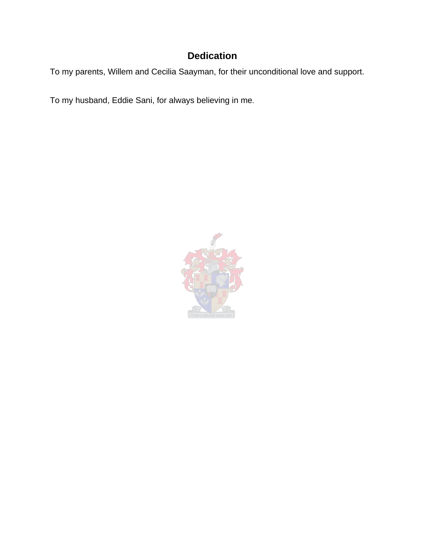# **Dedication**

To my parents, Willem and Cecilia Saayman, for their unconditional love and support.

To my husband, Eddie Sani, for always believing in me.

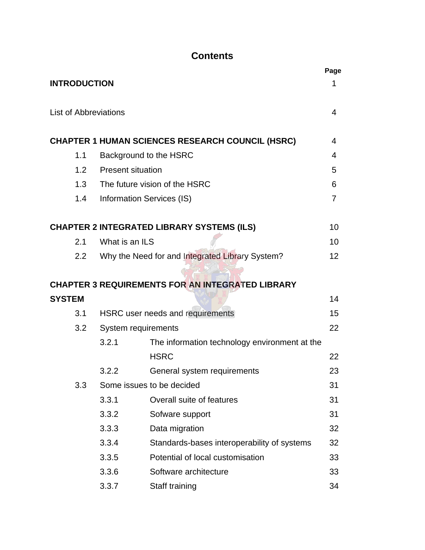# **Contents**

|                              |                  |                           |                                                         | Page |
|------------------------------|------------------|---------------------------|---------------------------------------------------------|------|
| <b>INTRODUCTION</b>          |                  |                           |                                                         | 1    |
| <b>List of Abbreviations</b> |                  |                           |                                                         | 4    |
|                              |                  |                           | <b>CHAPTER 1 HUMAN SCIENCES RESEARCH COUNCIL (HSRC)</b> | 4    |
| 1.1                          |                  | Background to the HSRC    |                                                         | 4    |
|                              | 1.2              | <b>Present situation</b>  |                                                         | 5    |
|                              |                  |                           | 1.3 The future vision of the HSRC                       | 6    |
|                              | 1.4              | Information Services (IS) |                                                         | 7    |
|                              |                  |                           | <b>CHAPTER 2 INTEGRATED LIBRARY SYSTEMS (ILS)</b>       | 10   |
| 2.1                          |                  | What is an ILS            |                                                         | 10   |
|                              | $2.2\phantom{0}$ |                           | Why the Need for and Integrated Library System?         | 12   |
|                              |                  |                           |                                                         |      |
|                              |                  |                           | <b>CHAPTER 3 REQUIREMENTS FOR AN INTEGRATED LIBRARY</b> |      |
| <b>SYSTEM</b>                |                  |                           |                                                         | 14   |
| 3.1                          |                  |                           | HSRC user needs and requirements                        | 15   |
|                              | 3.2              | System requirements       |                                                         | 22   |
|                              |                  | 3.2.1                     | The information technology environment at the           |      |
|                              |                  |                           | <b>HSRC</b>                                             | 22   |
|                              |                  | 3.2.2                     | General system requirements                             | 23   |
| 3.3                          |                  |                           | Some issues to be decided                               | 31   |
|                              |                  | 3.3.1                     | Overall suite of features                               | 31   |
|                              |                  | 3.3.2                     | Sofware support                                         | 31   |
|                              |                  | 3.3.3                     | Data migration                                          | 32   |
|                              |                  | 3.3.4                     | Standards-bases interoperability of systems             | 32   |
|                              |                  | 3.3.5                     | Potential of local customisation                        | 33   |
|                              |                  | 3.3.6                     | Software architecture                                   | 33   |
|                              |                  | 3.3.7                     | Staff training                                          | 34   |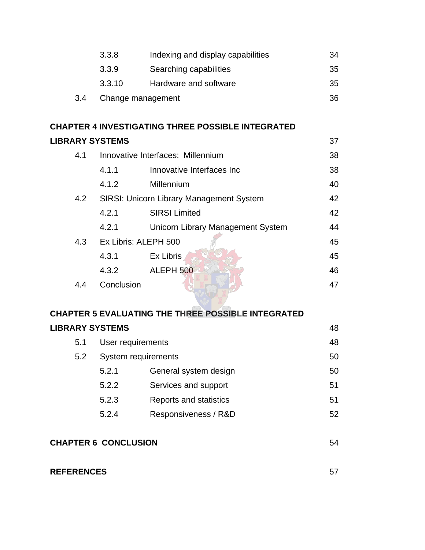|     | 3.3.8             | Indexing and display capabilities | 34  |
|-----|-------------------|-----------------------------------|-----|
|     | 3.3.9             | Searching capabilities            | -35 |
|     | 3.3.10            | Hardware and software             | 35  |
| 3.4 | Change management |                                   | 36  |

# **CHAPTER 4 INVESTIGATING THREE POSSIBLE INTEGRATED LIBRARY SYSTEMS** 37

| 4.1 |                      | Innovative Interfaces: Millennium        | 38 |
|-----|----------------------|------------------------------------------|----|
|     | 4.1.1                | Innovative Interfaces Inc                | 38 |
|     | 4.1.2                | Millennium                               | 40 |
| 4.2 |                      | SIRSI: Unicorn Library Management System | 42 |
|     | 4.2.1                | <b>SIRSI Limited</b>                     | 42 |
|     | 4.2.1                | <b>Unicorn Library Management System</b> | 44 |
| 4.3 | Ex Libris: ALEPH 500 |                                          | 45 |
|     | 4.3.1                | Ex Libris                                | 45 |
|     | 4.3.2                | ALEPH 500                                | 46 |
| 44  | Conclusion           |                                          | 47 |
|     |                      |                                          |    |

# **CHAPTER 5 EVALUATING THE THREE POSSIBLE INTEGRATED LIBRARY SYSTEMS** 48

| 5.1 | User requirements   |                        | 48 |
|-----|---------------------|------------------------|----|
| 5.2 | System requirements |                        | 50 |
|     | 5.2.1               | General system design  | 50 |
|     | 5.2.2               | Services and support   | 51 |
|     | 5.2.3               | Reports and statistics | 51 |
|     | 5.2.4               | Responsiveness / R&D   | 52 |
|     |                     |                        |    |

| <b>CHAPTER 6 CONCLUSION</b> |  |
|-----------------------------|--|
|                             |  |

#### **REFERENCES** 57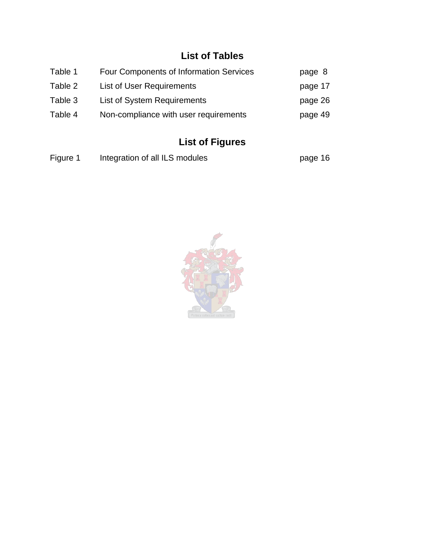# **List of Tables**

| Table 1 | <b>Four Components of Information Services</b> | page 8  |
|---------|------------------------------------------------|---------|
| Table 2 | List of User Requirements                      | page 17 |
| Table 3 | List of System Requirements                    | page 26 |
| Table 4 | Non-compliance with user requirements          | page 49 |

# **List of Figures**

| Figure 1 | Integration of all ILS modules | page 16 |
|----------|--------------------------------|---------|
|----------|--------------------------------|---------|

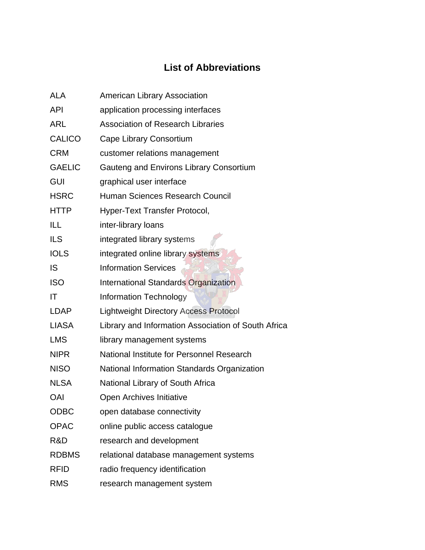# **List of Abbreviations**

| <b>ALA</b>    | American Library Association                        |
|---------------|-----------------------------------------------------|
| <b>API</b>    | application processing interfaces                   |
| <b>ARL</b>    | <b>Association of Research Libraries</b>            |
| <b>CALICO</b> | Cape Library Consortium                             |
| <b>CRM</b>    | customer relations management                       |
| <b>GAELIC</b> | Gauteng and Environs Library Consortium             |
| <b>GUI</b>    | graphical user interface                            |
| <b>HSRC</b>   | Human Sciences Research Council                     |
| <b>HTTP</b>   | Hyper-Text Transfer Protocol,                       |
| ILL           | inter-library loans                                 |
| <b>ILS</b>    | integrated library systems                          |
| <b>IOLS</b>   | integrated online library systems                   |
| IS            | <b>Information Services</b>                         |
| <b>ISO</b>    | <b>International Standards Organization</b>         |
| IT            | <b>Information Technology</b>                       |
| <b>LDAP</b>   | <b>Lightweight Directory Access Protocol</b>        |
| <b>LIASA</b>  | Library and Information Association of South Africa |
| <b>LMS</b>    | library management systems                          |
| <b>NIPR</b>   | National Institute for Personnel Research           |
| <b>NISO</b>   | National Information Standards Organization         |
| <b>NLSA</b>   | National Library of South Africa                    |
| <b>OAI</b>    | <b>Open Archives Initiative</b>                     |
| <b>ODBC</b>   | open database connectivity                          |
| <b>OPAC</b>   | online public access catalogue                      |
| R&D           | research and development                            |
| <b>RDBMS</b>  | relational database management systems              |
| <b>RFID</b>   | radio frequency identification                      |
| <b>RMS</b>    | research management system                          |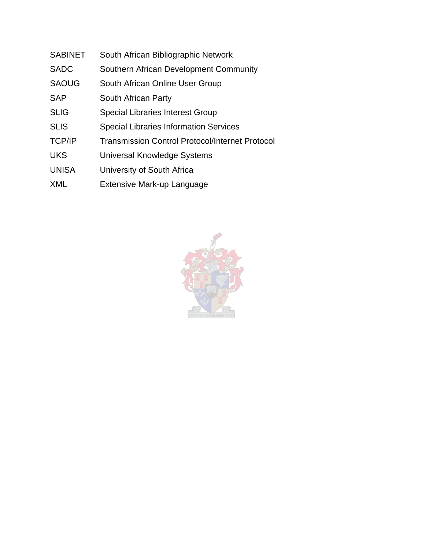- SABINET South African Bibliographic Network
- SADC Southern African Development Community
- SAOUG South African Online User Group
- SAP South African Party
- SLIG Special Libraries Interest Group
- SLIS Special Libraries Information Services
- TCP/IP Transmission Control Protocol/Internet Protocol
- UKS Universal Knowledge Systems
- UNISA University of South Africa
- XML Extensive Mark-up Language

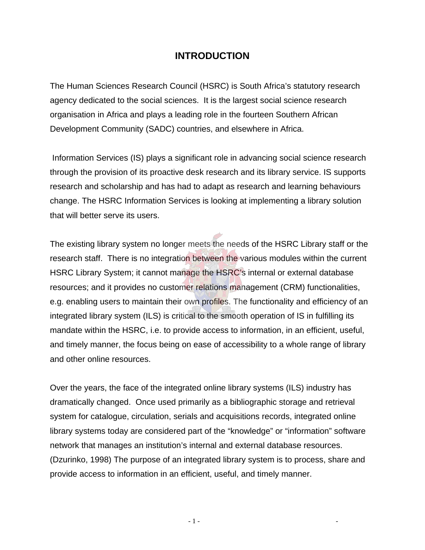#### **INTRODUCTION**

The Human Sciences Research Council (HSRC) is South Africa's statutory research agency dedicated to the social sciences. It is the largest social science research organisation in Africa and plays a leading role in the fourteen Southern African Development Community (SADC) countries, and elsewhere in Africa.

 Information Services (IS) plays a significant role in advancing social science research through the provision of its proactive desk research and its library service. IS supports research and scholarship and has had to adapt as research and learning behaviours change. The HSRC Information Services is looking at implementing a library solution that will better serve its users.

The existing library system no longer meets the needs of the HSRC Library staff or the research staff. There is no integration between the various modules within the current HSRC Library System; it cannot manage the HSRC's internal or external database resources; and it provides no customer relations management (CRM) functionalities, e.g. enabling users to maintain their own profiles. The functionality and efficiency of an integrated library system (ILS) is critical to the smooth operation of IS in fulfilling its mandate within the HSRC, i.e. to provide access to information, in an efficient, useful, and timely manner, the focus being on ease of accessibility to a whole range of library and other online resources.

Over the years, the face of the integrated online library systems (ILS) industry has dramatically changed. Once used primarily as a bibliographic storage and retrieval system for catalogue, circulation, serials and acquisitions records, integrated online library systems today are considered part of the "knowledge" or "information" software network that manages an institution's internal and external database resources. (Dzurinko, 1998) The purpose of an integrated library system is to process, share and provide access to information in an efficient, useful, and timely manner.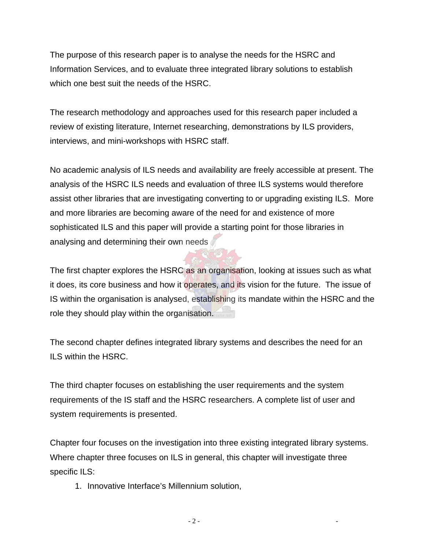The purpose of this research paper is to analyse the needs for the HSRC and Information Services, and to evaluate three integrated library solutions to establish which one best suit the needs of the HSRC.

The research methodology and approaches used for this research paper included a review of existing literature, Internet researching, demonstrations by ILS providers, interviews, and mini-workshops with HSRC staff.

No academic analysis of ILS needs and availability are freely accessible at present. The analysis of the HSRC ILS needs and evaluation of three ILS systems would therefore assist other libraries that are investigating converting to or upgrading existing ILS. More and more libraries are becoming aware of the need for and existence of more sophisticated ILS and this paper will provide a starting point for those libraries in analysing and determining their own needs

The first chapter explores the HSRC as an organisation, looking at issues such as what it does, its core business and how it operates, and its vision for the future. The issue of IS within the organisation is analysed, establishing its mandate within the HSRC and the role they should play within the organisation.

The second chapter defines integrated library systems and describes the need for an ILS within the HSRC.

The third chapter focuses on establishing the user requirements and the system requirements of the IS staff and the HSRC researchers. A complete list of user and system requirements is presented.

Chapter four focuses on the investigation into three existing integrated library systems. Where chapter three focuses on ILS in general, this chapter will investigate three specific ILS:

1. Innovative Interface's Millennium solution,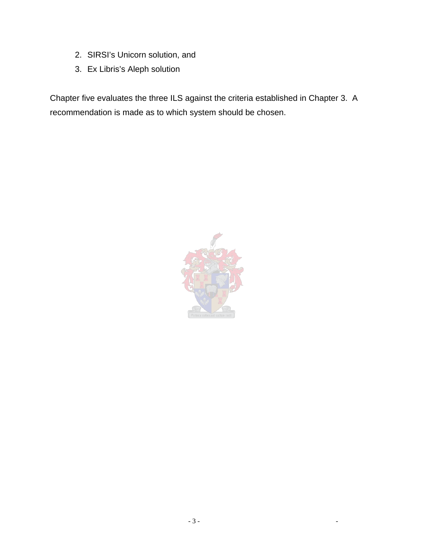- 2. SIRSI's Unicorn solution, and
- 3. Ex Libris's Aleph solution

Chapter five evaluates the three ILS against the criteria established in Chapter 3. A recommendation is made as to which system should be chosen.

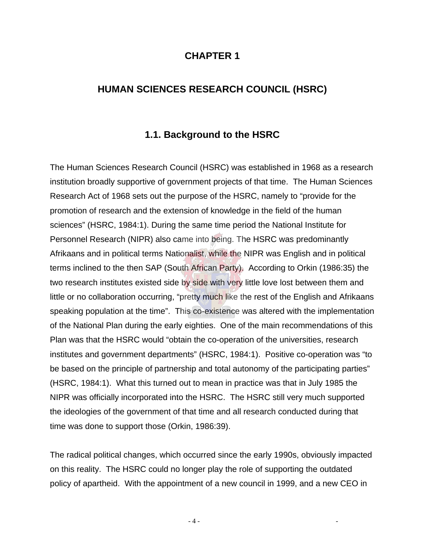#### **CHAPTER 1**

#### **HUMAN SCIENCES RESEARCH COUNCIL (HSRC)**

#### **1.1. Background to the HSRC**

The Human Sciences Research Council (HSRC) was established in 1968 as a research institution broadly supportive of government projects of that time. The Human Sciences Research Act of 1968 sets out the purpose of the HSRC, namely to "provide for the promotion of research and the extension of knowledge in the field of the human sciences" (HSRC, 1984:1). During the same time period the National Institute for Personnel Research (NIPR) also came into being. The HSRC was predominantly Afrikaans and in political terms Nationalist, while the NIPR was English and in political terms inclined to the then SAP (South African Party). According to Orkin (1986:35) the two research institutes existed side by side with very little love lost between them and little or no collaboration occurring, "pretty much like the rest of the English and Afrikaans speaking population at the time". This co-existence was altered with the implementation of the National Plan during the early eighties. One of the main recommendations of this Plan was that the HSRC would "obtain the co-operation of the universities, research institutes and government departments" (HSRC, 1984:1). Positive co-operation was "to be based on the principle of partnership and total autonomy of the participating parties" (HSRC, 1984:1). What this turned out to mean in practice was that in July 1985 the NIPR was officially incorporated into the HSRC. The HSRC still very much supported the ideologies of the government of that time and all research conducted during that time was done to support those (Orkin, 1986:39).

The radical political changes, which occurred since the early 1990s, obviously impacted on this reality. The HSRC could no longer play the role of supporting the outdated policy of apartheid. With the appointment of a new council in 1999, and a new CEO in

- 4 - -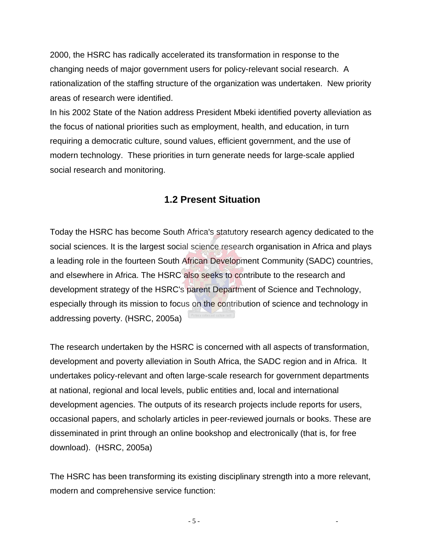2000, the HSRC has radically accelerated its transformation in response to the changing needs of major government users for policy-relevant social research. A rationalization of the staffing structure of the organization was undertaken. New priority areas of research were identified.

In his 2002 State of the Nation address President Mbeki identified poverty alleviation as the focus of national priorities such as employment, health, and education, in turn requiring a democratic culture, sound values, efficient government, and the use of modern technology. These priorities in turn generate needs for large-scale applied social research and monitoring.

#### **1.2 Present Situation**

Today the HSRC has become South Africa's statutory research agency dedicated to the social sciences. It is the largest social science research organisation in Africa and plays a leading role in the fourteen South African Development Community (SADC) countries, and elsewhere in Africa. The HSRC also seeks to contribute to the research and development strategy of the HSRC's parent Department of Science and Technology, especially through its mission to focus on the contribution of science and technology in addressing poverty. (HSRC, 2005a)

The research undertaken by the HSRC is concerned with all aspects of transformation, development and poverty alleviation in South Africa, the SADC region and in Africa. It undertakes policy-relevant and often large-scale research for government departments at national, regional and local levels, public entities and, local and international development agencies. The outputs of its research projects include reports for users, occasional papers, and scholarly articles in peer-reviewed journals or books. These are disseminated in print through an online bookshop and electronically (that is, for free download). (HSRC, 2005a)

The HSRC has been transforming its existing disciplinary strength into a more relevant, modern and comprehensive service function: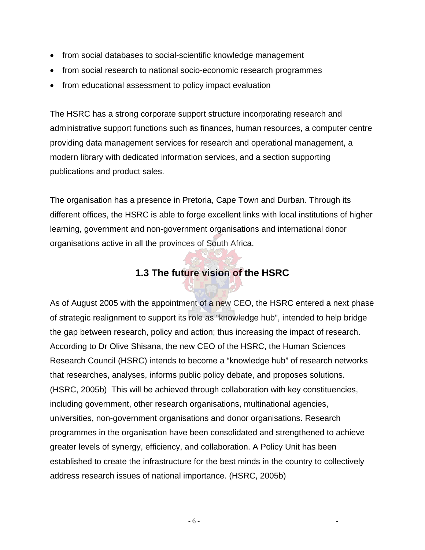- from social databases to social-scientific knowledge management
- from social research to national socio-economic research programmes
- from educational assessment to policy impact evaluation

The HSRC has a strong corporate support structure incorporating research and administrative support functions such as finances, human resources, a computer centre providing data management services for research and operational management, a modern library with dedicated information services, and a section supporting publications and product sales.

The organisation has a presence in Pretoria, Cape Town and Durban. Through its different offices, the HSRC is able to forge excellent links with local institutions of higher learning, government and non-government organisations and international donor organisations active in all the provinces of South Africa.

# **1.3 The future vision of the HSRC**

As of August 2005 with the appointment of a new CEO, the HSRC entered a next phase of strategic realignment to support its role as "knowledge hub", intended to help bridge the gap between research, policy and action; thus increasing the impact of research. According to Dr Olive Shisana, the new CEO of the HSRC, the Human Sciences Research Council (HSRC) intends to become a "knowledge hub" of research networks that researches, analyses, informs public policy debate, and proposes solutions. (HSRC, 2005b) This will be achieved through collaboration with key constituencies, including government, other research organisations, multinational agencies, universities, non-government organisations and donor organisations. Research programmes in the organisation have been consolidated and strengthened to achieve greater levels of synergy, efficiency, and collaboration. A Policy Unit has been established to create the infrastructure for the best minds in the country to collectively address research issues of national importance. (HSRC, 2005b)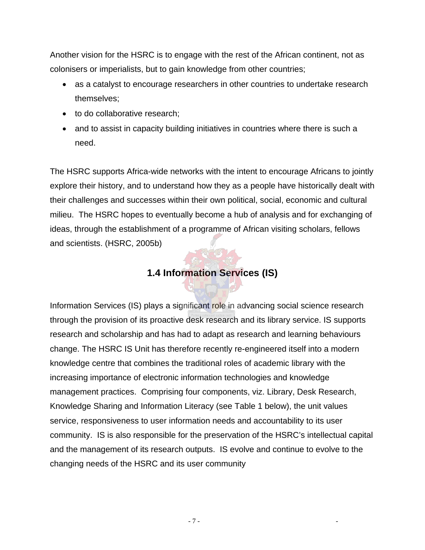Another vision for the HSRC is to engage with the rest of the African continent, not as colonisers or imperialists, but to gain knowledge from other countries;

- as a catalyst to encourage researchers in other countries to undertake research themselves;
- to do collaborative research;
- and to assist in capacity building initiatives in countries where there is such a need.

The HSRC supports Africa-wide networks with the intent to encourage Africans to jointly explore their history, and to understand how they as a people have historically dealt with their challenges and successes within their own political, social, economic and cultural milieu. The HSRC hopes to eventually become a hub of analysis and for exchanging of ideas, through the establishment of a programme of African visiting scholars, fellows and scientists. (HSRC, 2005b)

# **1.4 Information Services (IS)**

Information Services (IS) plays a significant role in advancing social science research through the provision of its proactive desk research and its library service. IS supports research and scholarship and has had to adapt as research and learning behaviours change. The HSRC IS Unit has therefore recently re-engineered itself into a modern knowledge centre that combines the traditional roles of academic library with the increasing importance of electronic information technologies and knowledge management practices. Comprising four components, viz. Library, Desk Research, Knowledge Sharing and Information Literacy (see Table 1 below), the unit values service, responsiveness to user information needs and accountability to its user community. IS is also responsible for the preservation of the HSRC's intellectual capital and the management of its research outputs. IS evolve and continue to evolve to the changing needs of the HSRC and its user community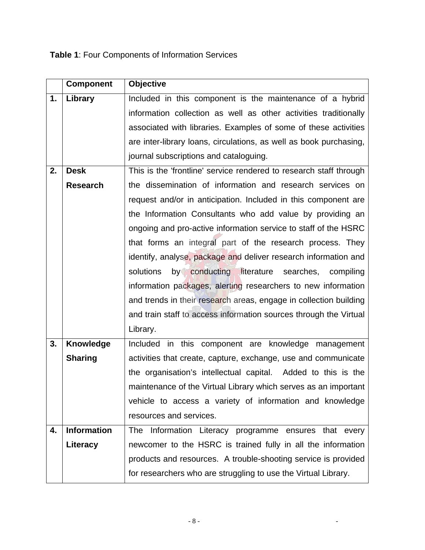# **Table 1**: Four Components of Information Services

|    | <b>Component</b>   | <b>Objective</b>                                                   |
|----|--------------------|--------------------------------------------------------------------|
| 1. | Library            | Included in this component is the maintenance of a hybrid          |
|    |                    | information collection as well as other activities traditionally   |
|    |                    | associated with libraries. Examples of some of these activities    |
|    |                    | are inter-library loans, circulations, as well as book purchasing, |
|    |                    | journal subscriptions and cataloguing.                             |
| 2. | <b>Desk</b>        | This is the 'frontline' service rendered to research staff through |
|    | <b>Research</b>    | the dissemination of information and research services on          |
|    |                    | request and/or in anticipation. Included in this component are     |
|    |                    | the Information Consultants who add value by providing an          |
|    |                    | ongoing and pro-active information service to staff of the HSRC    |
|    |                    | that forms an integral part of the research process. They          |
|    |                    | identify, analyse, package and deliver research information and    |
|    |                    | solutions<br>by conducting literature searches, compiling          |
|    |                    | information packages, alerting researchers to new information      |
|    |                    | and trends in their research areas, engage in collection building  |
|    |                    | and train staff to access information sources through the Virtual  |
|    |                    | Library.                                                           |
| 3. | <b>Knowledge</b>   | Included in this component are knowledge management                |
|    | <b>Sharing</b>     | activities that create, capture, exchange, use and communicate     |
|    |                    | the organisation's intellectual capital. Added to this is the      |
|    |                    | maintenance of the Virtual Library which serves as an important    |
|    |                    | vehicle to access a variety of information and knowledge           |
|    |                    | resources and services.                                            |
| 4. | <b>Information</b> | Information Literacy programme ensures that every<br>The           |
|    | Literacy           | newcomer to the HSRC is trained fully in all the information       |
|    |                    | products and resources. A trouble-shooting service is provided     |
|    |                    | for researchers who are struggling to use the Virtual Library.     |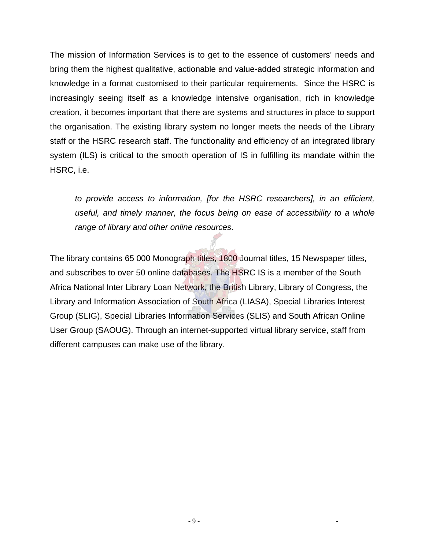The mission of Information Services is to get to the essence of customers' needs and bring them the highest qualitative, actionable and value-added strategic information and knowledge in a format customised to their particular requirements. Since the HSRC is increasingly seeing itself as a knowledge intensive organisation, rich in knowledge creation, it becomes important that there are systems and structures in place to support the organisation. The existing library system no longer meets the needs of the Library staff or the HSRC research staff. The functionality and efficiency of an integrated library system (ILS) is critical to the smooth operation of IS in fulfilling its mandate within the HSRC, i.e.

*to provide access to information, [for the HSRC researchers], in an efficient, useful, and timely manner, the focus being on ease of accessibility to a whole range of library and other online resources*.

The library contains 65 000 Monograph titles, 1800 Journal titles, 15 Newspaper titles, and subscribes to over 50 online databases. The HSRC IS is a member of the South Africa National Inter Library Loan Network, the British Library, Library of Congress, the Library and Information Association of South Africa (LIASA), Special Libraries Interest Group (SLIG), Special Libraries Information Services (SLIS) and South African Online User Group (SAOUG). Through an internet-supported virtual library service, staff from different campuses can make use of the library.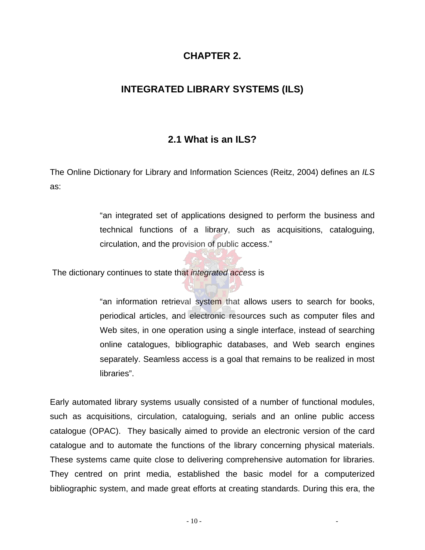#### **CHAPTER 2.**

#### **INTEGRATED LIBRARY SYSTEMS (ILS)**

#### **2.1 What is an ILS?**

The Online Dictionary for Library and Information Sciences (Reitz, 2004) defines an *ILS* as:

> "an integrated set of applications designed to perform the business and technical functions of a library, such as acquisitions, cataloguing, circulation, and the provision of public access."

The dictionary continues to state that *integrated access* is

"an information retrieval system that allows users to search for books, periodical articles, and electronic resources such as computer files and Web sites, in one operation using a single interface, instead of searching online catalogues, bibliographic databases, and Web search engines separately. Seamless access is a goal that remains to be realized in most libraries".

Early automated library systems usually consisted of a number of functional modules, such as acquisitions, circulation, cataloguing, serials and an online public access catalogue (OPAC). They basically aimed to provide an electronic version of the card catalogue and to automate the functions of the library concerning physical materials. These systems came quite close to delivering comprehensive automation for libraries. They centred on print media, established the basic model for a computerized bibliographic system, and made great efforts at creating standards. During this era, the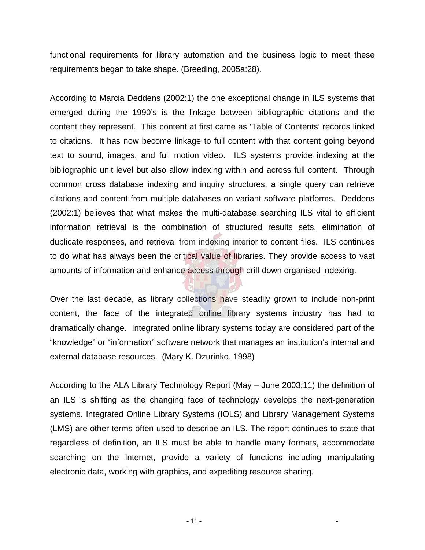functional requirements for library automation and the business logic to meet these requirements began to take shape. (Breeding, 2005a:28).

According to Marcia Deddens (2002:1) the one exceptional change in ILS systems that emerged during the 1990's is the linkage between bibliographic citations and the content they represent. This content at first came as 'Table of Contents' records linked to citations. It has now become linkage to full content with that content going beyond text to sound, images, and full motion video. ILS systems provide indexing at the bibliographic unit level but also allow indexing within and across full content. Through common cross database indexing and inquiry structures, a single query can retrieve citations and content from multiple databases on variant software platforms. Deddens (2002:1) believes that what makes the multi-database searching ILS vital to efficient information retrieval is the combination of structured results sets, elimination of duplicate responses, and retrieval from indexing interior to content files. ILS continues to do what has always been the critical value of libraries. They provide access to vast amounts of information and enhance access through drill-down organised indexing.

Over the last decade, as library collections have steadily grown to include non-print content, the face of the integrated online library systems industry has had to dramatically change. Integrated online library systems today are considered part of the "knowledge" or "information" software network that manages an institution's internal and external database resources. (Mary K. Dzurinko, 1998)

According to the ALA Library Technology Report (May – June 2003:11) the definition of an ILS is shifting as the changing face of technology develops the next-generation systems. Integrated Online Library Systems (IOLS) and Library Management Systems (LMS) are other terms often used to describe an ILS. The report continues to state that regardless of definition, an ILS must be able to handle many formats, accommodate searching on the Internet, provide a variety of functions including manipulating electronic data, working with graphics, and expediting resource sharing.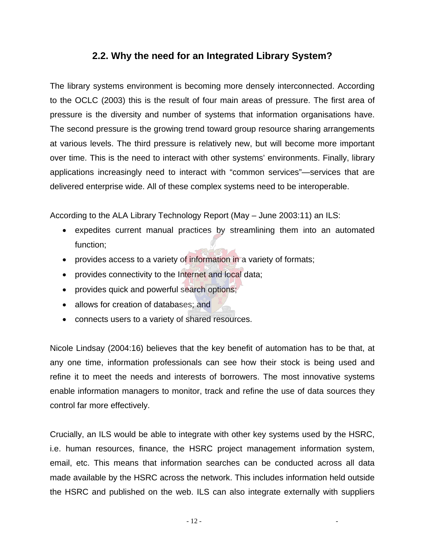#### **2.2. Why the need for an Integrated Library System?**

The library systems environment is becoming more densely interconnected. According to the OCLC (2003) this is the result of four main areas of pressure. The first area of pressure is the diversity and number of systems that information organisations have. The second pressure is the growing trend toward group resource sharing arrangements at various levels. The third pressure is relatively new, but will become more important over time. This is the need to interact with other systems' environments. Finally, library applications increasingly need to interact with "common services"—services that are delivered enterprise wide. All of these complex systems need to be interoperable.

According to the ALA Library Technology Report (May – June 2003:11) an ILS:

- expedites current manual practices by streamlining them into an automated function;
- provides access to a variety of information in a variety of formats;
- provides connectivity to the Internet and local data;
- provides quick and powerful search options;
- allows for creation of databases; and
- connects users to a variety of shared resources.

Nicole Lindsay (2004:16) believes that the key benefit of automation has to be that, at any one time, information professionals can see how their stock is being used and refine it to meet the needs and interests of borrowers. The most innovative systems enable information managers to monitor, track and refine the use of data sources they control far more effectively.

Crucially, an ILS would be able to integrate with other key systems used by the HSRC, i.e. human resources, finance, the HSRC project management information system, email, etc. This means that information searches can be conducted across all data made available by the HSRC across the network. This includes information held outside the HSRC and published on the web. ILS can also integrate externally with suppliers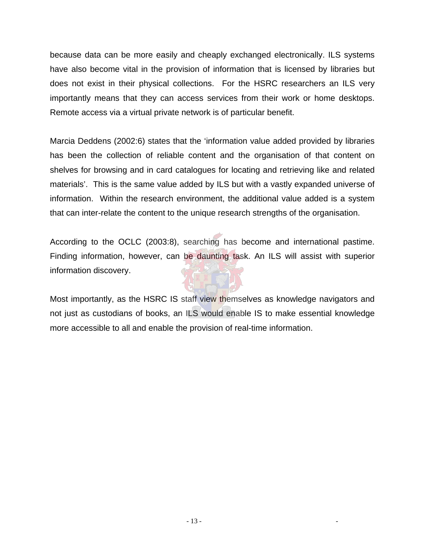because data can be more easily and cheaply exchanged electronically. ILS systems have also become vital in the provision of information that is licensed by libraries but does not exist in their physical collections. For the HSRC researchers an ILS very importantly means that they can access services from their work or home desktops. Remote access via a virtual private network is of particular benefit.

Marcia Deddens (2002:6) states that the 'information value added provided by libraries has been the collection of reliable content and the organisation of that content on shelves for browsing and in card catalogues for locating and retrieving like and related materials'. This is the same value added by ILS but with a vastly expanded universe of information. Within the research environment, the additional value added is a system that can inter-relate the content to the unique research strengths of the organisation.

According to the OCLC (2003:8), searching has become and international pastime. Finding information, however, can be daunting task. An ILS will assist with superior information discovery.

Most importantly, as the HSRC IS staff view themselves as knowledge navigators and not just as custodians of books, an ILS would enable IS to make essential knowledge more accessible to all and enable the provision of real-time information.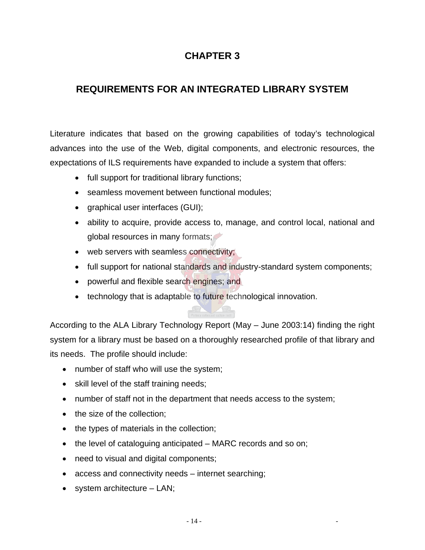# **CHAPTER 3**

# **REQUIREMENTS FOR AN INTEGRATED LIBRARY SYSTEM**

Literature indicates that based on the growing capabilities of today's technological advances into the use of the Web, digital components, and electronic resources, the expectations of ILS requirements have expanded to include a system that offers:

- full support for traditional library functions;
- seamless movement between functional modules:
- graphical user interfaces (GUI);
- ability to acquire, provide access to, manage, and control local, national and global resources in many formats;
- web servers with seamless connectivity;
- full support for national standards and industry-standard system components;
- powerful and flexible search engines; and
- technology that is adaptable to future technological innovation.

According to the ALA Library Technology Report (May – June 2003:14) finding the right system for a library must be based on a thoroughly researched profile of that library and its needs. The profile should include:

- number of staff who will use the system;
- skill level of the staff training needs;
- number of staff not in the department that needs access to the system;
- the size of the collection:
- the types of materials in the collection;
- the level of cataloguing anticipated MARC records and so on;
- need to visual and digital components;
- access and connectivity needs internet searching;
- system architecture LAN;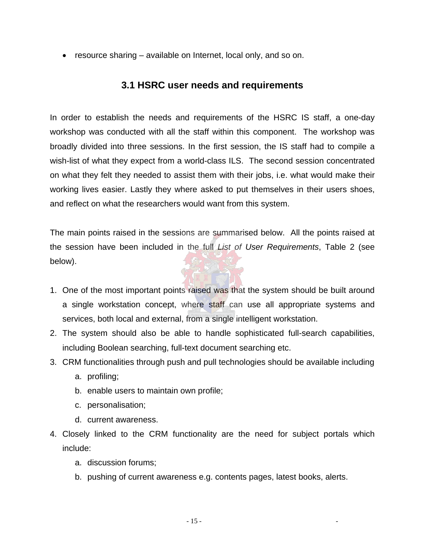• resource sharing – available on Internet, local only, and so on.

#### **3.1 HSRC user needs and requirements**

In order to establish the needs and requirements of the HSRC IS staff, a one-day workshop was conducted with all the staff within this component. The workshop was broadly divided into three sessions. In the first session, the IS staff had to compile a wish-list of what they expect from a world-class ILS. The second session concentrated on what they felt they needed to assist them with their jobs, i.e. what would make their working lives easier. Lastly they where asked to put themselves in their users shoes, and reflect on what the researchers would want from this system.

The main points raised in the sessions are summarised below. All the points raised at the session have been included in the full *List of User Requirements*, Table 2 (see below).

- 1. One of the most important points raised was that the system should be built around a single workstation concept, where staff can use all appropriate systems and services, both local and external, from a single intelligent workstation.
- 2. The system should also be able to handle sophisticated full-search capabilities, including Boolean searching, full-text document searching etc.
- 3. CRM functionalities through push and pull technologies should be available including
	- a. profiling;
	- b. enable users to maintain own profile;
	- c. personalisation;
	- d. current awareness.
- 4. Closely linked to the CRM functionality are the need for subject portals which include:
	- a. discussion forums;
	- b. pushing of current awareness e.g. contents pages, latest books, alerts.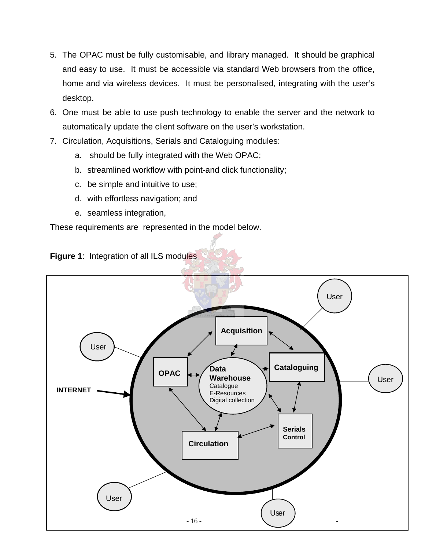- 5. The OPAC must be fully customisable, and library managed. It should be graphical and easy to use. It must be accessible via standard Web browsers from the office, home and via wireless devices. It must be personalised, integrating with the user's desktop.
- 6. One must be able to use push technology to enable the server and the network to automatically update the client software on the user's workstation.
- 7. Circulation, Acquisitions, Serials and Cataloguing modules:
	- a. should be fully integrated with the Web OPAC;
	- b. streamlined workflow with point-and click functionality;
	- c. be simple and intuitive to use;
	- d. with effortless navigation; and
	- e. seamless integration,

These requirements are represented in the model below.



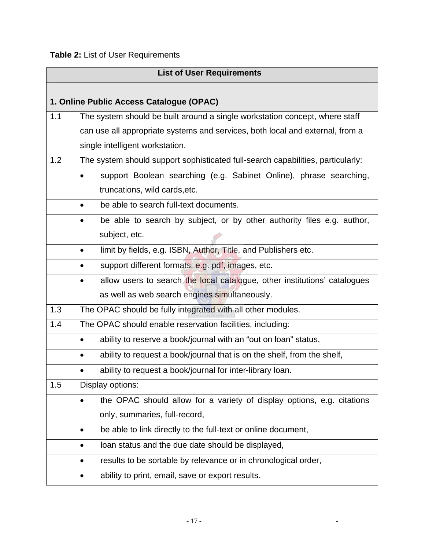# **Table 2:** List of User Requirements

|     | <b>List of User Requirements</b>                                                     |  |
|-----|--------------------------------------------------------------------------------------|--|
|     |                                                                                      |  |
|     | 1. Online Public Access Catalogue (OPAC)                                             |  |
| 1.1 | The system should be built around a single workstation concept, where staff          |  |
|     | can use all appropriate systems and services, both local and external, from a        |  |
|     | single intelligent workstation.                                                      |  |
| 1.2 | The system should support sophisticated full-search capabilities, particularly:      |  |
|     | support Boolean searching (e.g. Sabinet Online), phrase searching,<br>$\bullet$      |  |
|     | truncations, wild cards, etc.                                                        |  |
|     | be able to search full-text documents.<br>$\bullet$                                  |  |
|     | be able to search by subject, or by other authority files e.g. author,               |  |
|     | subject, etc.                                                                        |  |
|     | limit by fields, e.g. ISBN, Author, Title, and Publishers etc.<br>٠                  |  |
|     | support different formats, e.g. pdf, images, etc.                                    |  |
|     | allow users to search the local catalogue, other institutions' catalogues            |  |
|     | as well as web search engines simultaneously.                                        |  |
| 1.3 | The OPAC should be fully integrated with all other modules.                          |  |
| 1.4 | The OPAC should enable reservation facilities, including:                            |  |
|     | ability to reserve a book/journal with an "out on loan" status,                      |  |
|     | ability to request a book/journal that is on the shelf, from the shelf,<br>$\bullet$ |  |
|     | ability to request a book/journal for inter-library loan.                            |  |
| 1.5 | Display options:                                                                     |  |
|     | the OPAC should allow for a variety of display options, e.g. citations               |  |
|     | only, summaries, full-record,                                                        |  |
|     | be able to link directly to the full-text or online document,<br>$\bullet$           |  |
|     | loan status and the due date should be displayed,<br>$\bullet$                       |  |
|     | results to be sortable by relevance or in chronological order,                       |  |
|     | ability to print, email, save or export results.                                     |  |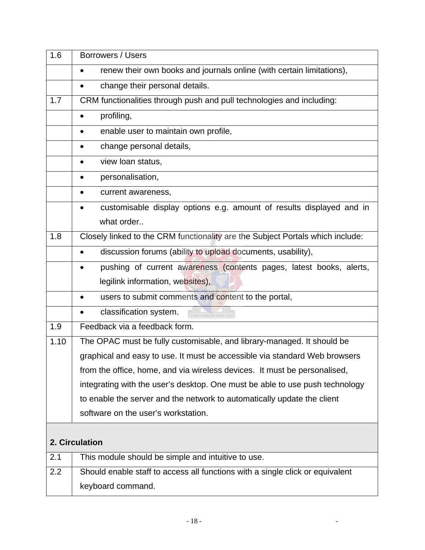| 1.6  | Borrowers / Users                                                              |
|------|--------------------------------------------------------------------------------|
|      | renew their own books and journals online (with certain limitations),          |
|      | change their personal details.<br>$\bullet$                                    |
| 1.7  | CRM functionalities through push and pull technologies and including:          |
|      | profiling,                                                                     |
|      | enable user to maintain own profile,<br>$\bullet$                              |
|      | change personal details,                                                       |
|      | view loan status,                                                              |
|      | personalisation,<br>٠                                                          |
|      | current awareness,<br>$\bullet$                                                |
|      | customisable display options e.g. amount of results displayed and in           |
|      | what order                                                                     |
| 1.8  | Closely linked to the CRM functionality are the Subject Portals which include: |
|      | discussion forums (ability to upload documents, usability),                    |
|      | pushing of current awareness (contents pages, latest books, alerts,            |
|      | legilink information, websites),                                               |
|      | users to submit comments and content to the portal,                            |
|      | classification system.                                                         |
| 1.9  | Feedback via a feedback form.                                                  |
| 1.10 | The OPAC must be fully customisable, and library-managed. It should be         |
|      | graphical and easy to use. It must be accessible via standard Web browsers     |
|      | from the office, home, and via wireless devices. It must be personalised,      |
|      | integrating with the user's desktop. One must be able to use push technology   |
|      | to enable the server and the network to automatically update the client        |
|      | software on the user's workstation.                                            |
|      | 2. Circulation                                                                 |
| 2.1  | This module should be simple and intuitive to use.                             |
| 2.2  | Should enable staff to access all functions with a single click or equivalent  |
|      | keyboard command.                                                              |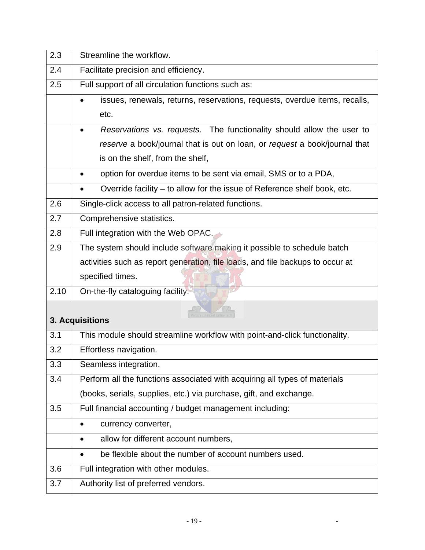| 2.3  | Streamline the workflow.                                                       |  |
|------|--------------------------------------------------------------------------------|--|
| 2.4  | Facilitate precision and efficiency.                                           |  |
| 2.5  | Full support of all circulation functions such as:                             |  |
|      | issues, renewals, returns, reservations, requests, overdue items, recalls,     |  |
|      | etc.                                                                           |  |
|      | Reservations vs. requests. The functionality should allow the user to          |  |
|      | reserve a book/journal that is out on loan, or request a book/journal that     |  |
|      | is on the shelf, from the shelf,                                               |  |
|      | option for overdue items to be sent via email, SMS or to a PDA,                |  |
|      | Override facility – to allow for the issue of Reference shelf book, etc.       |  |
| 2.6  | Single-click access to all patron-related functions.                           |  |
| 2.7  | Comprehensive statistics.                                                      |  |
| 2.8  | Full integration with the Web OPAC.                                            |  |
| 2.9  | The system should include software making it possible to schedule batch        |  |
|      | activities such as report generation, file loads, and file backups to occur at |  |
|      | specified times.                                                               |  |
| 2.10 | On-the-fly cataloguing facility.                                               |  |
|      |                                                                                |  |
|      | 3. Acquisitions                                                                |  |
| 3.1  | This module should streamline workflow with point-and-click functionality.     |  |
| 3.2  | Effortless navigation.                                                         |  |
| 3.3  | Seamless integration.                                                          |  |
| 3.4  | Perform all the functions associated with acquiring all types of materials     |  |
|      | (books, serials, supplies, etc.) via purchase, gift, and exchange.             |  |
| 3.5  | Full financial accounting / budget management including:                       |  |
|      | currency converter,<br>$\bullet$                                               |  |
|      | allow for different account numbers,<br>٠                                      |  |
|      |                                                                                |  |
|      | be flexible about the number of account numbers used.                          |  |
| 3.6  | Full integration with other modules.                                           |  |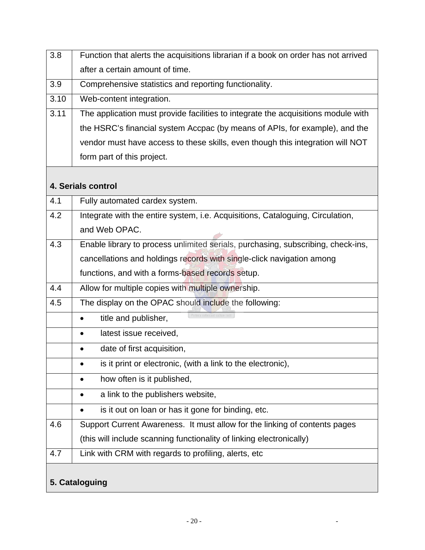| 3.8  | Function that alerts the acquisitions librarian if a book on order has not arrived |  |  |  |  |  |
|------|------------------------------------------------------------------------------------|--|--|--|--|--|
|      | after a certain amount of time.                                                    |  |  |  |  |  |
| 3.9  | Comprehensive statistics and reporting functionality.                              |  |  |  |  |  |
| 3.10 | Web-content integration.                                                           |  |  |  |  |  |
| 3.11 | The application must provide facilities to integrate the acquisitions module with  |  |  |  |  |  |
|      | the HSRC's financial system Accpac (by means of APIs, for example), and the        |  |  |  |  |  |
|      | vendor must have access to these skills, even though this integration will NOT     |  |  |  |  |  |
|      | form part of this project.                                                         |  |  |  |  |  |
|      |                                                                                    |  |  |  |  |  |
|      | 4. Serials control                                                                 |  |  |  |  |  |
| 4.1  | Fully automated cardex system.                                                     |  |  |  |  |  |
| 4.2  | Integrate with the entire system, i.e. Acquisitions, Cataloguing, Circulation,     |  |  |  |  |  |
|      | and Web OPAC.                                                                      |  |  |  |  |  |
| 4.3  | Enable library to process unlimited serials, purchasing, subscribing, check-ins,   |  |  |  |  |  |
|      | cancellations and holdings records with single-click navigation among              |  |  |  |  |  |
|      | functions, and with a forms-based records setup.                                   |  |  |  |  |  |
| 4.4  | Allow for multiple copies with multiple ownership.                                 |  |  |  |  |  |
| 4.5  | The display on the OPAC should include the following:                              |  |  |  |  |  |
|      | title and publisher,                                                               |  |  |  |  |  |
|      | latest issue received,<br>$\bullet$                                                |  |  |  |  |  |
|      | date of first acquisition,                                                         |  |  |  |  |  |
|      | is it print or electronic, (with a link to the electronic),                        |  |  |  |  |  |
|      | how often is it published,<br>$\bullet$                                            |  |  |  |  |  |
|      | a link to the publishers website,<br>$\bullet$                                     |  |  |  |  |  |
|      | is it out on loan or has it gone for binding, etc.                                 |  |  |  |  |  |
| 4.6  | Support Current Awareness. It must allow for the linking of contents pages         |  |  |  |  |  |
|      | (this will include scanning functionality of linking electronically)               |  |  |  |  |  |
| 4.7  | Link with CRM with regards to profiling, alerts, etc                               |  |  |  |  |  |
|      |                                                                                    |  |  |  |  |  |
|      | 5. Cataloguing                                                                     |  |  |  |  |  |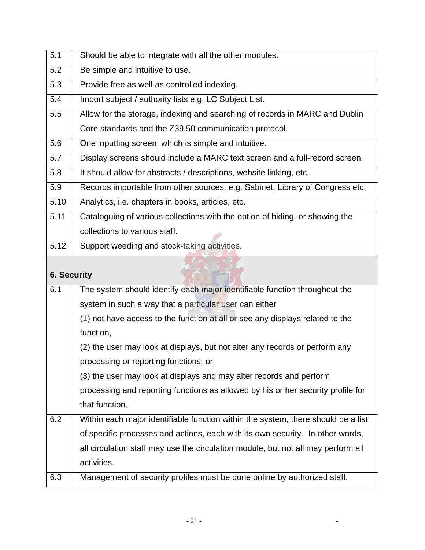| 5.1                | Should be able to integrate with all the other modules.                           |  |  |  |  |  |  |
|--------------------|-----------------------------------------------------------------------------------|--|--|--|--|--|--|
| 5.2                | Be simple and intuitive to use.                                                   |  |  |  |  |  |  |
| 5.3                | Provide free as well as controlled indexing.                                      |  |  |  |  |  |  |
| 5.4                | Import subject / authority lists e.g. LC Subject List.                            |  |  |  |  |  |  |
| 5.5                | Allow for the storage, indexing and searching of records in MARC and Dublin       |  |  |  |  |  |  |
|                    | Core standards and the Z39.50 communication protocol.                             |  |  |  |  |  |  |
| 5.6                | One inputting screen, which is simple and intuitive.                              |  |  |  |  |  |  |
| 5.7                | Display screens should include a MARC text screen and a full-record screen.       |  |  |  |  |  |  |
| 5.8                | It should allow for abstracts / descriptions, website linking, etc.               |  |  |  |  |  |  |
| 5.9                | Records importable from other sources, e.g. Sabinet, Library of Congress etc.     |  |  |  |  |  |  |
| 5.10               | Analytics, i.e. chapters in books, articles, etc.                                 |  |  |  |  |  |  |
| 5.11               | Cataloguing of various collections with the option of hiding, or showing the      |  |  |  |  |  |  |
|                    | collections to various staff.                                                     |  |  |  |  |  |  |
| 5.12               | Support weeding and stock-taking activities.                                      |  |  |  |  |  |  |
|                    |                                                                                   |  |  |  |  |  |  |
|                    |                                                                                   |  |  |  |  |  |  |
| <b>6. Security</b> |                                                                                   |  |  |  |  |  |  |
| 6.1                | The system should identify each major identifiable function throughout the        |  |  |  |  |  |  |
|                    | system in such a way that a particular user can either                            |  |  |  |  |  |  |
|                    | (1) not have access to the function at all or see any displays related to the     |  |  |  |  |  |  |
|                    | function,                                                                         |  |  |  |  |  |  |
|                    | (2) the user may look at displays, but not alter any records or perform any       |  |  |  |  |  |  |
|                    | processing or reporting functions, or                                             |  |  |  |  |  |  |
|                    | (3) the user may look at displays and may alter records and perform               |  |  |  |  |  |  |
|                    | processing and reporting functions as allowed by his or her security profile for  |  |  |  |  |  |  |
|                    | that function.                                                                    |  |  |  |  |  |  |
| 6.2                | Within each major identifiable function within the system, there should be a list |  |  |  |  |  |  |
|                    | of specific processes and actions, each with its own security. In other words,    |  |  |  |  |  |  |
|                    | all circulation staff may use the circulation module, but not all may perform all |  |  |  |  |  |  |
|                    | activities.                                                                       |  |  |  |  |  |  |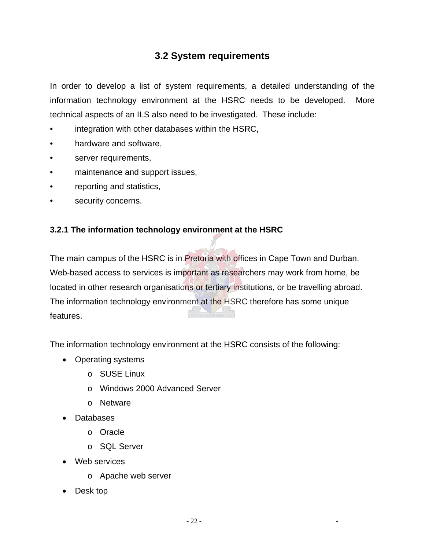### **3.2 System requirements**

In order to develop a list of system requirements, a detailed understanding of the information technology environment at the HSRC needs to be developed. More technical aspects of an ILS also need to be investigated. These include:

- integration with other databases within the HSRC,
- hardware and software,
- server requirements,
- maintenance and support issues,
- reporting and statistics,
- security concerns.

#### **3.2.1 The information technology environment at the HSRC**

The main campus of the HSRC is in **Pretoria with offices in Cape Town and Durban.** Web-based access to services is important as researchers may work from home, be located in other research organisations or tertiary institutions, or be travelling abroad. The information technology environment at the HSRC therefore has some unique features.

The information technology environment at the HSRC consists of the following:

- Operating systems
	- o SUSE Linux
	- o Windows 2000 Advanced Server
	- o Netware
- Databases
	- o Oracle
	- o SQL Server
- Web services
	- o Apache web server
- Desk top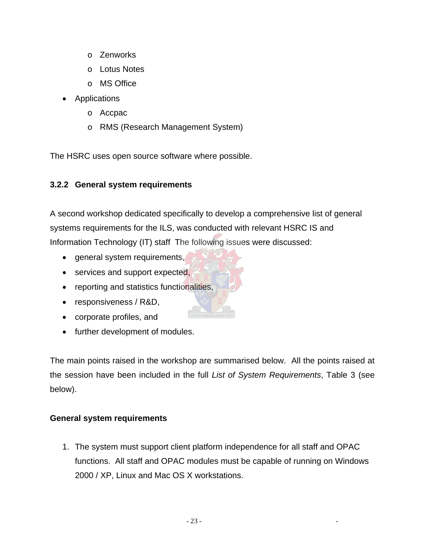- o Zenworks
- o Lotus Notes
- o MS Office
- Applications
	- o Accpac
	- o RMS (Research Management System)

The HSRC uses open source software where possible.

#### **3.2.2 General system requirements**

A second workshop dedicated specifically to develop a comprehensive list of general systems requirements for the ILS, was conducted with relevant HSRC IS and Information Technology (IT) staff The following issues were discussed:

- general system requirements,
- services and support expected,
- reporting and statistics functionalities,
- responsiveness / R&D,
- corporate profiles, and
- further development of modules.

The main points raised in the workshop are summarised below. All the points raised at the session have been included in the full *List of System Requirements*, Table 3 (see below).

#### **General system requirements**

1. The system must support client platform independence for all staff and OPAC functions. All staff and OPAC modules must be capable of running on Windows 2000 / XP, Linux and Mac OS X workstations.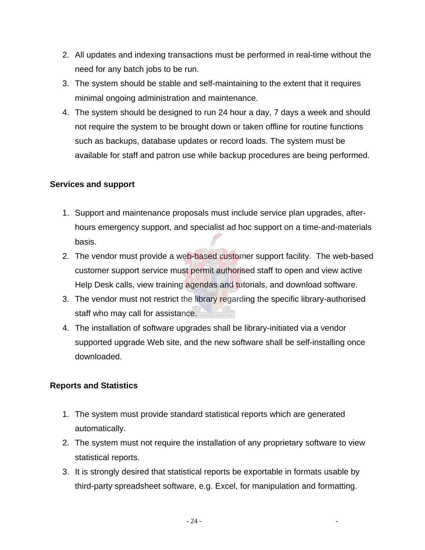- 2. All updates and indexing transactions must be performed in real-time without the need for any batch jobs to be run.
- 3. The system should be stable and self-maintaining to the extent that it requires minimal ongoing administration and maintenance.
- 4. The system should be designed to run 24 hour a day, 7 days a week and should not require the system to be brought down or taken offline for routine functions such as backups, database updates or record loads. The system must be available for staff and patron use while backup procedures are being performed.

#### **Services and support**

- 1. Support and maintenance proposals must include service plan upgrades, afterhours emergency support, and specialist ad hoc support on a time-and-materials basis.
- 2. The vendor must provide a web-based customer support facility. The web-based customer support service must permit authorised staff to open and view active Help Desk calls, view training agendas and tutorials, and download software.
- 3. The vendor must not restrict the library regarding the specific library-authorised staff who may call for assistance.
- 4. The installation of software upgrades shall be library-initiated via a vendor supported upgrade Web site, and the new software shall be self-installing once downloaded.

#### **Reports and Statistics**

- 1. The system must provide standard statistical reports which are generated automatically.
- 2. The system must not require the installation of any proprietary software to view statistical reports.
- 3. It is strongly desired that statistical reports be exportable in formats usable by third-party spreadsheet software, e.g. Excel, for manipulation and formatting.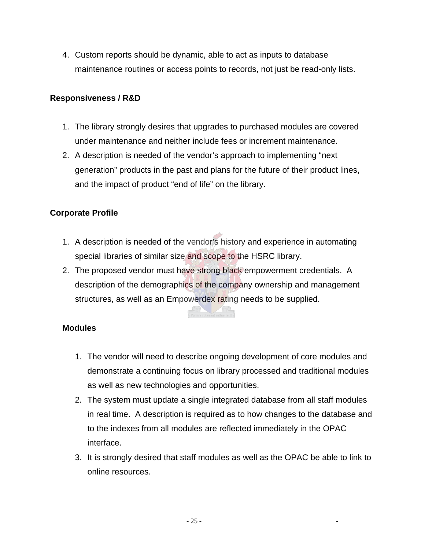4. Custom reports should be dynamic, able to act as inputs to database maintenance routines or access points to records, not just be read-only lists.

#### **Responsiveness / R&D**

- 1. The library strongly desires that upgrades to purchased modules are covered under maintenance and neither include fees or increment maintenance.
- 2. A description is needed of the vendor's approach to implementing "next generation" products in the past and plans for the future of their product lines, and the impact of product "end of life" on the library.

#### **Corporate Profile**

- 1. A description is needed of the vendor's history and experience in automating special libraries of similar size and scope to the HSRC library.
- 2. The proposed vendor must have strong black empowerment credentials. A description of the demographics of the company ownership and management structures, as well as an Empowerdex rating needs to be supplied.

#### **Modules**

- 1. The vendor will need to describe ongoing development of core modules and demonstrate a continuing focus on library processed and traditional modules as well as new technologies and opportunities.
- 2. The system must update a single integrated database from all staff modules in real time. A description is required as to how changes to the database and to the indexes from all modules are reflected immediately in the OPAC interface.
- 3. It is strongly desired that staff modules as well as the OPAC be able to link to online resources.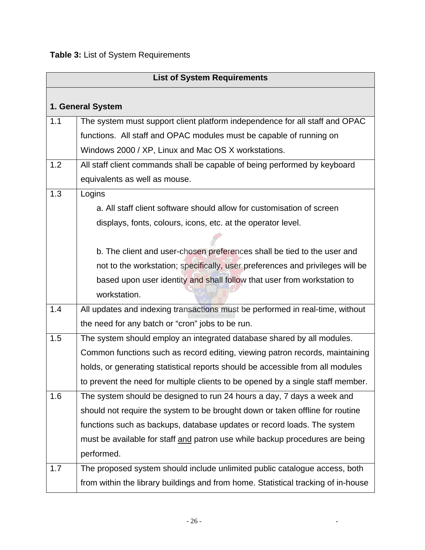| <b>List of System Requirements</b> |                                                                                   |  |  |  |  |  |  |  |
|------------------------------------|-----------------------------------------------------------------------------------|--|--|--|--|--|--|--|
|                                    |                                                                                   |  |  |  |  |  |  |  |
| 1. General System                  |                                                                                   |  |  |  |  |  |  |  |
| 1.1                                | The system must support client platform independence for all staff and OPAC       |  |  |  |  |  |  |  |
|                                    | functions. All staff and OPAC modules must be capable of running on               |  |  |  |  |  |  |  |
|                                    | Windows 2000 / XP, Linux and Mac OS X workstations.                               |  |  |  |  |  |  |  |
| 1.2                                | All staff client commands shall be capable of being performed by keyboard         |  |  |  |  |  |  |  |
|                                    | equivalents as well as mouse.                                                     |  |  |  |  |  |  |  |
| 1.3                                | Logins                                                                            |  |  |  |  |  |  |  |
|                                    | a. All staff client software should allow for customisation of screen             |  |  |  |  |  |  |  |
|                                    | displays, fonts, colours, icons, etc. at the operator level.                      |  |  |  |  |  |  |  |
|                                    |                                                                                   |  |  |  |  |  |  |  |
|                                    | b. The client and user-chosen preferences shall be tied to the user and           |  |  |  |  |  |  |  |
|                                    | not to the workstation; specifically, user preferences and privileges will be     |  |  |  |  |  |  |  |
|                                    | based upon user identity and shall follow that user from workstation to           |  |  |  |  |  |  |  |
|                                    | workstation.                                                                      |  |  |  |  |  |  |  |
| 1.4                                | All updates and indexing transactions must be performed in real-time, without     |  |  |  |  |  |  |  |
|                                    | the need for any batch or "cron" jobs to be run.                                  |  |  |  |  |  |  |  |
| 1.5                                | The system should employ an integrated database shared by all modules.            |  |  |  |  |  |  |  |
|                                    | Common functions such as record editing, viewing patron records, maintaining      |  |  |  |  |  |  |  |
|                                    | holds, or generating statistical reports should be accessible from all modules    |  |  |  |  |  |  |  |
|                                    | to prevent the need for multiple clients to be opened by a single staff member.   |  |  |  |  |  |  |  |
| 1.6                                | The system should be designed to run 24 hours a day, 7 days a week and            |  |  |  |  |  |  |  |
|                                    | should not require the system to be brought down or taken offline for routine     |  |  |  |  |  |  |  |
|                                    | functions such as backups, database updates or record loads. The system           |  |  |  |  |  |  |  |
|                                    | must be available for staff and patron use while backup procedures are being      |  |  |  |  |  |  |  |
|                                    | performed.                                                                        |  |  |  |  |  |  |  |
| 1.7                                | The proposed system should include unlimited public catalogue access, both        |  |  |  |  |  |  |  |
|                                    | from within the library buildings and from home. Statistical tracking of in-house |  |  |  |  |  |  |  |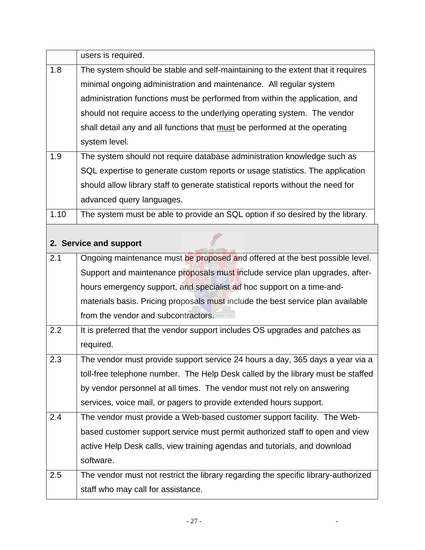|      | users is required.                                                                 |  |  |  |  |  |  |  |  |
|------|------------------------------------------------------------------------------------|--|--|--|--|--|--|--|--|
| 1.8  | The system should be stable and self-maintaining to the extent that it requires    |  |  |  |  |  |  |  |  |
|      | minimal ongoing administration and maintenance. All regular system                 |  |  |  |  |  |  |  |  |
|      | administration functions must be performed from within the application, and        |  |  |  |  |  |  |  |  |
|      | should not require access to the underlying operating system. The vendor           |  |  |  |  |  |  |  |  |
|      | shall detail any and all functions that must be performed at the operating         |  |  |  |  |  |  |  |  |
|      | system level.                                                                      |  |  |  |  |  |  |  |  |
| 1.9  | The system should not require database administration knowledge such as            |  |  |  |  |  |  |  |  |
|      | SQL expertise to generate custom reports or usage statistics. The application      |  |  |  |  |  |  |  |  |
|      | should allow library staff to generate statistical reports without the need for    |  |  |  |  |  |  |  |  |
|      | advanced query languages.                                                          |  |  |  |  |  |  |  |  |
| 1.10 | The system must be able to provide an SQL option if so desired by the library.     |  |  |  |  |  |  |  |  |
|      |                                                                                    |  |  |  |  |  |  |  |  |
|      | 2. Service and support                                                             |  |  |  |  |  |  |  |  |
| 2.1  | Ongoing maintenance must be proposed and offered at the best possible level.       |  |  |  |  |  |  |  |  |
|      | Support and maintenance proposals must include service plan upgrades, after-       |  |  |  |  |  |  |  |  |
|      | hours emergency support, and specialist ad hoc support on a time-and-              |  |  |  |  |  |  |  |  |
|      | materials basis. Pricing proposals must include the best service plan available    |  |  |  |  |  |  |  |  |
|      | from the vendor and subcontractors.                                                |  |  |  |  |  |  |  |  |
| 2.2  | It is preferred that the vendor support includes OS upgrades and patches as        |  |  |  |  |  |  |  |  |
|      | required.                                                                          |  |  |  |  |  |  |  |  |
| 2.3  | The vendor must provide support service 24 hours a day, 365 days a year via a      |  |  |  |  |  |  |  |  |
|      | toll-free telephone number. The Help Desk called by the library must be staffed    |  |  |  |  |  |  |  |  |
|      | by vendor personnel at all times. The vendor must not rely on answering            |  |  |  |  |  |  |  |  |
|      | services, voice mail, or pagers to provide extended hours support.                 |  |  |  |  |  |  |  |  |
| 2.4  | The vendor must provide a Web-based customer support facility. The Web-            |  |  |  |  |  |  |  |  |
|      | based customer support service must permit authorized staff to open and view       |  |  |  |  |  |  |  |  |
|      | active Help Desk calls, view training agendas and tutorials, and download          |  |  |  |  |  |  |  |  |
|      | software.                                                                          |  |  |  |  |  |  |  |  |
| 2.5  | The vendor must not restrict the library regarding the specific library-authorized |  |  |  |  |  |  |  |  |
|      | staff who may call for assistance.                                                 |  |  |  |  |  |  |  |  |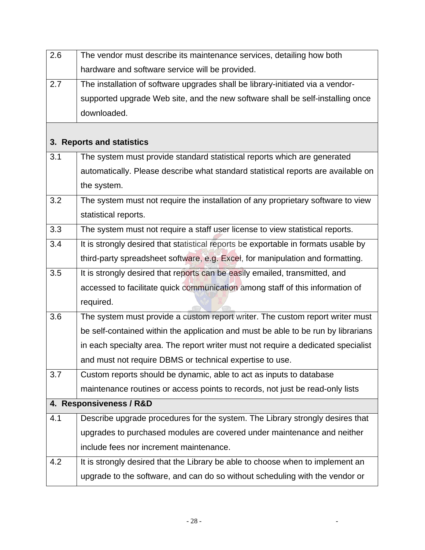| 2.6 | The vendor must describe its maintenance services, detailing how both              |  |  |  |  |  |  |
|-----|------------------------------------------------------------------------------------|--|--|--|--|--|--|
|     | hardware and software service will be provided.                                    |  |  |  |  |  |  |
| 2.7 | The installation of software upgrades shall be library-initiated via a vendor-     |  |  |  |  |  |  |
|     | supported upgrade Web site, and the new software shall be self-installing once     |  |  |  |  |  |  |
|     | downloaded.                                                                        |  |  |  |  |  |  |
|     |                                                                                    |  |  |  |  |  |  |
|     | 3. Reports and statistics                                                          |  |  |  |  |  |  |
| 3.1 | The system must provide standard statistical reports which are generated           |  |  |  |  |  |  |
|     | automatically. Please describe what standard statistical reports are available on  |  |  |  |  |  |  |
|     | the system.                                                                        |  |  |  |  |  |  |
| 3.2 | The system must not require the installation of any proprietary software to view   |  |  |  |  |  |  |
|     | statistical reports.                                                               |  |  |  |  |  |  |
| 3.3 | The system must not require a staff user license to view statistical reports.      |  |  |  |  |  |  |
| 3.4 | It is strongly desired that statistical reports be exportable in formats usable by |  |  |  |  |  |  |
|     | third-party spreadsheet software, e.g. Excel, for manipulation and formatting.     |  |  |  |  |  |  |
| 3.5 | It is strongly desired that reports can be easily emailed, transmitted, and        |  |  |  |  |  |  |
|     | accessed to facilitate quick communication among staff of this information of      |  |  |  |  |  |  |
|     | required.                                                                          |  |  |  |  |  |  |
| 3.6 | The system must provide a custom report writer. The custom report writer must      |  |  |  |  |  |  |
|     | be self-contained within the application and must be able to be run by librarians  |  |  |  |  |  |  |
|     | in each specialty area. The report writer must not require a dedicated specialist  |  |  |  |  |  |  |
|     | and must not require DBMS or technical expertise to use.                           |  |  |  |  |  |  |
| 3.7 | Custom reports should be dynamic, able to act as inputs to database                |  |  |  |  |  |  |
|     | maintenance routines or access points to records, not just be read-only lists      |  |  |  |  |  |  |
|     | 4. Responsiveness / R&D                                                            |  |  |  |  |  |  |
| 4.1 | Describe upgrade procedures for the system. The Library strongly desires that      |  |  |  |  |  |  |
|     | upgrades to purchased modules are covered under maintenance and neither            |  |  |  |  |  |  |
|     | include fees nor increment maintenance.                                            |  |  |  |  |  |  |
| 4.2 | It is strongly desired that the Library be able to choose when to implement an     |  |  |  |  |  |  |
|     | upgrade to the software, and can do so without scheduling with the vendor or       |  |  |  |  |  |  |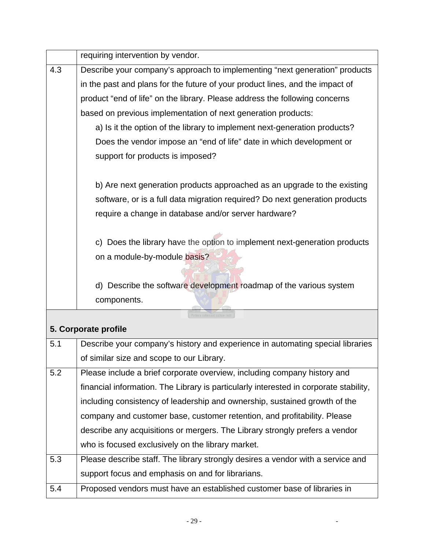|     | requiring intervention by vendor.                                                     |  |  |  |  |  |  |
|-----|---------------------------------------------------------------------------------------|--|--|--|--|--|--|
| 4.3 | Describe your company's approach to implementing "next generation" products           |  |  |  |  |  |  |
|     | in the past and plans for the future of your product lines, and the impact of         |  |  |  |  |  |  |
|     | product "end of life" on the library. Please address the following concerns           |  |  |  |  |  |  |
|     | based on previous implementation of next generation products:                         |  |  |  |  |  |  |
|     | a) Is it the option of the library to implement next-generation products?             |  |  |  |  |  |  |
|     | Does the vendor impose an "end of life" date in which development or                  |  |  |  |  |  |  |
|     | support for products is imposed?                                                      |  |  |  |  |  |  |
|     | b) Are next generation products approached as an upgrade to the existing              |  |  |  |  |  |  |
|     | software, or is a full data migration required? Do next generation products           |  |  |  |  |  |  |
|     | require a change in database and/or server hardware?                                  |  |  |  |  |  |  |
|     |                                                                                       |  |  |  |  |  |  |
|     | c) Does the library have the option to implement next-generation products             |  |  |  |  |  |  |
|     | on a module-by-module basis?                                                          |  |  |  |  |  |  |
|     |                                                                                       |  |  |  |  |  |  |
|     | d) Describe the software development roadmap of the various system                    |  |  |  |  |  |  |
|     | components.                                                                           |  |  |  |  |  |  |
|     | ectora roborant cultus                                                                |  |  |  |  |  |  |
|     | 5. Corporate profile                                                                  |  |  |  |  |  |  |
| 5.1 | Describe your company's history and experience in automating special libraries        |  |  |  |  |  |  |
|     | of similar size and scope to our Library.                                             |  |  |  |  |  |  |
| 5.2 | Please include a brief corporate overview, including company history and              |  |  |  |  |  |  |
|     | financial information. The Library is particularly interested in corporate stability, |  |  |  |  |  |  |
|     | including consistency of leadership and ownership, sustained growth of the            |  |  |  |  |  |  |
|     | company and customer base, customer retention, and profitability. Please              |  |  |  |  |  |  |
|     | describe any acquisitions or mergers. The Library strongly prefers a vendor           |  |  |  |  |  |  |
|     | who is focused exclusively on the library market.                                     |  |  |  |  |  |  |
| 5.3 | Please describe staff. The library strongly desires a vendor with a service and       |  |  |  |  |  |  |
|     | support focus and emphasis on and for librarians.                                     |  |  |  |  |  |  |
| 5.4 | Proposed vendors must have an established customer base of libraries in               |  |  |  |  |  |  |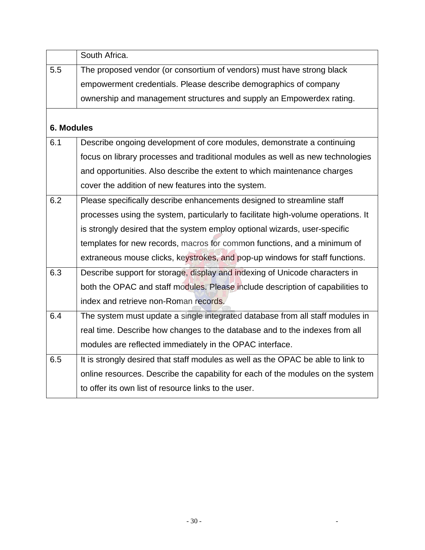|            | South Africa.                                                                     |
|------------|-----------------------------------------------------------------------------------|
| 5.5        | The proposed vendor (or consortium of vendors) must have strong black             |
|            | empowerment credentials. Please describe demographics of company                  |
|            | ownership and management structures and supply an Empowerdex rating.              |
| 6. Modules |                                                                                   |
| 6.1        | Describe ongoing development of core modules, demonstrate a continuing            |
|            | focus on library processes and traditional modules as well as new technologies    |
|            | and opportunities. Also describe the extent to which maintenance charges          |
|            | cover the addition of new features into the system.                               |
| 6.2        | Please specifically describe enhancements designed to streamline staff            |
|            | processes using the system, particularly to facilitate high-volume operations. It |
|            | is strongly desired that the system employ optional wizards, user-specific        |
|            | templates for new records, macros for common functions, and a minimum of          |
|            | extraneous mouse clicks, keystrokes, and pop-up windows for staff functions.      |
| 6.3        | Describe support for storage, display and indexing of Unicode characters in       |
|            | both the OPAC and staff modules. Please include description of capabilities to    |
|            | index and retrieve non-Roman records.                                             |
| 6.4        | The system must update a single integrated database from all staff modules in     |
|            | real time. Describe how changes to the database and to the indexes from all       |
|            | modules are reflected immediately in the OPAC interface.                          |
| 6.5        | It is strongly desired that staff modules as well as the OPAC be able to link to  |
|            | online resources. Describe the capability for each of the modules on the system   |
|            | to offer its own list of resource links to the user.                              |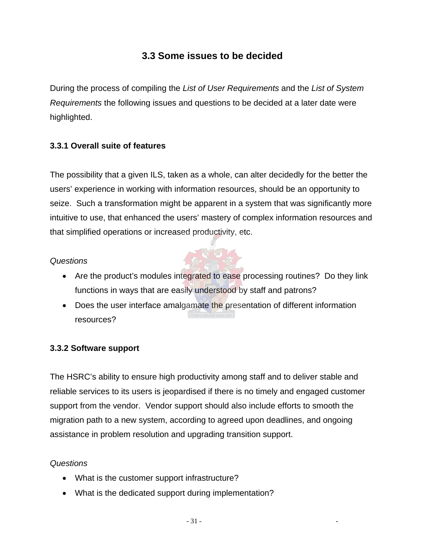# **3.3 Some issues to be decided**

During the process of compiling the *List of User Requirements* and the *List of System Requirements* the following issues and questions to be decided at a later date were highlighted.

#### **3.3.1 Overall suite of features**

The possibility that a given ILS, taken as a whole, can alter decidedly for the better the users' experience in working with information resources, should be an opportunity to seize. Such a transformation might be apparent in a system that was significantly more intuitive to use, that enhanced the users' mastery of complex information resources and that simplified operations or increased productivity, etc.

#### *Questions*

- Are the product's modules integrated to ease processing routines? Do they link functions in ways that are easily understood by staff and patrons?
- Does the user interface amalgamate the presentation of different information resources?

#### **3.3.2 Software support**

The HSRC's ability to ensure high productivity among staff and to deliver stable and reliable services to its users is jeopardised if there is no timely and engaged customer support from the vendor. Vendor support should also include efforts to smooth the migration path to a new system, according to agreed upon deadlines, and ongoing assistance in problem resolution and upgrading transition support.

#### *Questions*

- What is the customer support infrastructure?
- What is the dedicated support during implementation?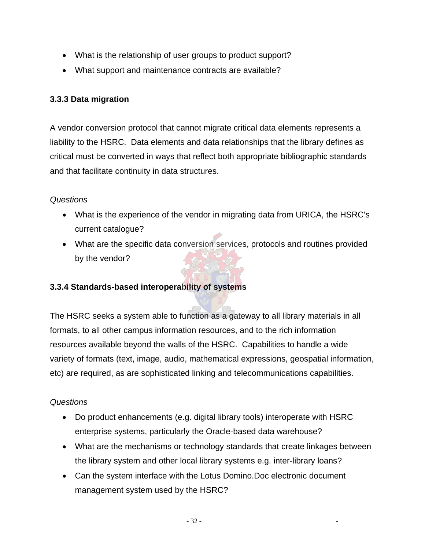- What is the relationship of user groups to product support?
- What support and maintenance contracts are available?

#### **3.3.3 Data migration**

A vendor conversion protocol that cannot migrate critical data elements represents a liability to the HSRC. Data elements and data relationships that the library defines as critical must be converted in ways that reflect both appropriate bibliographic standards and that facilitate continuity in data structures.

#### *Questions*

- What is the experience of the vendor in migrating data from URICA, the HSRC's current catalogue?
- What are the specific data conversion services, protocols and routines provided by the vendor?

#### **3.3.4 Standards-based interoperability of systems**

The HSRC seeks a system able to function as a gateway to all library materials in all formats, to all other campus information resources, and to the rich information resources available beyond the walls of the HSRC. Capabilities to handle a wide variety of formats (text, image, audio, mathematical expressions, geospatial information, etc) are required, as are sophisticated linking and telecommunications capabilities.

#### *Questions*

- Do product enhancements (e.g. digital library tools) interoperate with HSRC enterprise systems, particularly the Oracle-based data warehouse?
- What are the mechanisms or technology standards that create linkages between the library system and other local library systems e.g. inter-library loans?
- Can the system interface with the Lotus Domino.Doc electronic document management system used by the HSRC?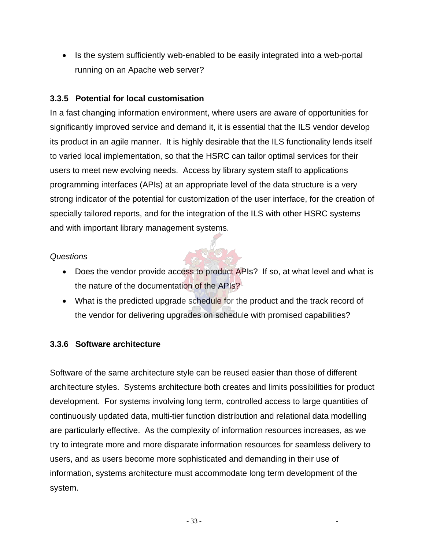• Is the system sufficiently web-enabled to be easily integrated into a web-portal running on an Apache web server?

#### **3.3.5 Potential for local customisation**

In a fast changing information environment, where users are aware of opportunities for significantly improved service and demand it, it is essential that the ILS vendor develop its product in an agile manner. It is highly desirable that the ILS functionality lends itself to varied local implementation, so that the HSRC can tailor optimal services for their users to meet new evolving needs. Access by library system staff to applications programming interfaces (APIs) at an appropriate level of the data structure is a very strong indicator of the potential for customization of the user interface, for the creation of specially tailored reports, and for the integration of the ILS with other HSRC systems and with important library management systems.

#### *Questions*

• Does the vendor provide access to product APIs? If so, at what level and what is the nature of the documentation of the APIs?

 $\frac{1}{2}$ 

• What is the predicted upgrade schedule for the product and the track record of the vendor for delivering upgrades on schedule with promised capabilities?

#### **3.3.6 Software architecture**

Software of the same architecture style can be reused easier than those of different architecture styles. Systems architecture both creates and limits possibilities for product development. For systems involving long term, controlled access to large quantities of continuously updated data, multi-tier function distribution and relational data modelling are particularly effective. As the complexity of information resources increases, as we try to integrate more and more disparate information resources for seamless delivery to users, and as users become more sophisticated and demanding in their use of information, systems architecture must accommodate long term development of the system.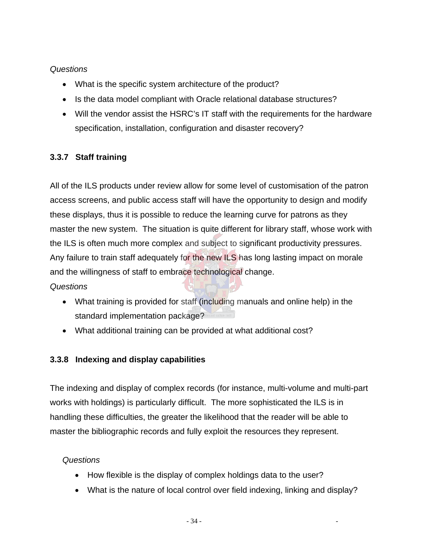#### *Questions*

- What is the specific system architecture of the product?
- Is the data model compliant with Oracle relational database structures?
- Will the vendor assist the HSRC's IT staff with the requirements for the hardware specification, installation, configuration and disaster recovery?

### **3.3.7 Staff training**

All of the ILS products under review allow for some level of customisation of the patron access screens, and public access staff will have the opportunity to design and modify these displays, thus it is possible to reduce the learning curve for patrons as they master the new system. The situation is quite different for library staff, whose work with the ILS is often much more complex and subject to significant productivity pressures. Any failure to train staff adequately for the new ILS has long lasting impact on morale and the willingness of staff to embrace technological change.

*Questions* 

- What training is provided for staff (including manuals and online help) in the standard implementation package?
- What additional training can be provided at what additional cost?

#### **3.3.8 Indexing and display capabilities**

The indexing and display of complex records (for instance, multi-volume and multi-part works with holdings) is particularly difficult. The more sophisticated the ILS is in handling these difficulties, the greater the likelihood that the reader will be able to master the bibliographic records and fully exploit the resources they represent.

#### *Questions*

- How flexible is the display of complex holdings data to the user?
- What is the nature of local control over field indexing, linking and display?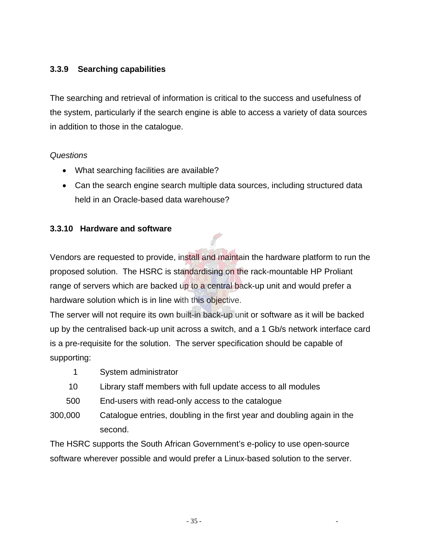#### **3.3.9 Searching capabilities**

The searching and retrieval of information is critical to the success and usefulness of the system, particularly if the search engine is able to access a variety of data sources in addition to those in the catalogue.

#### *Questions*

- What searching facilities are available?
- Can the search engine search multiple data sources, including structured data held in an Oracle-based data warehouse?

#### **3.3.10 Hardware and software**

Vendors are requested to provide, install and maintain the hardware platform to run the proposed solution. The HSRC is standardising on the rack-mountable HP Proliant range of servers which are backed up to a central back-up unit and would prefer a hardware solution which is in line with this objective.

The server will not require its own built-in back-up unit or software as it will be backed up by the centralised back-up unit across a switch, and a 1 Gb/s network interface card is a pre-requisite for the solution. The server specification should be capable of supporting:

- 1 System administrator
- 10 Library staff members with full update access to all modules
- 500 End-users with read-only access to the catalogue
- 300,000 Catalogue entries, doubling in the first year and doubling again in the second.

The HSRC supports the South African Government's e-policy to use open-source software wherever possible and would prefer a Linux-based solution to the server.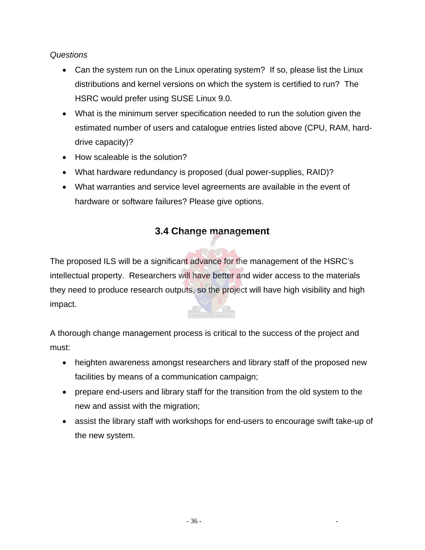#### *Questions*

- Can the system run on the Linux operating system? If so, please list the Linux distributions and kernel versions on which the system is certified to run? The HSRC would prefer using SUSE Linux 9.0.
- What is the minimum server specification needed to run the solution given the estimated number of users and catalogue entries listed above (CPU, RAM, harddrive capacity)?
- How scaleable is the solution?
- What hardware redundancy is proposed (dual power-supplies, RAID)?
- What warranties and service level agreements are available in the event of hardware or software failures? Please give options.

# **3.4 Change management**

The proposed ILS will be a significant advance for the management of the HSRC's intellectual property. Researchers will have better and wider access to the materials they need to produce research outputs, so the project will have high visibility and high impact.

A thorough change management process is critical to the success of the project and must:

- heighten awareness amongst researchers and library staff of the proposed new facilities by means of a communication campaign;
- prepare end-users and library staff for the transition from the old system to the new and assist with the migration;
- assist the library staff with workshops for end-users to encourage swift take-up of the new system.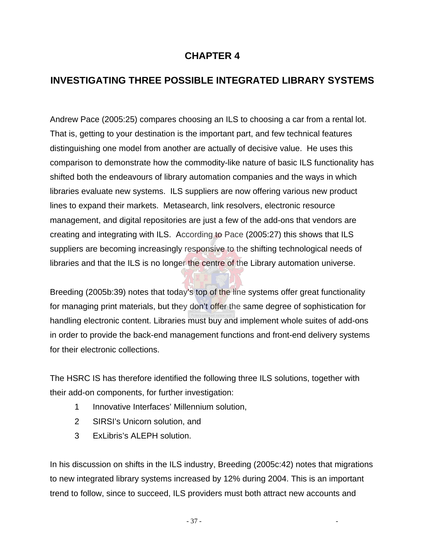### **CHAPTER 4**

# **INVESTIGATING THREE POSSIBLE INTEGRATED LIBRARY SYSTEMS**

Andrew Pace (2005:25) compares choosing an ILS to choosing a car from a rental lot. That is, getting to your destination is the important part, and few technical features distinguishing one model from another are actually of decisive value. He uses this comparison to demonstrate how the commodity-like nature of basic ILS functionality has shifted both the endeavours of library automation companies and the ways in which libraries evaluate new systems. ILS suppliers are now offering various new product lines to expand their markets. Metasearch, link resolvers, electronic resource management, and digital repositories are just a few of the add-ons that vendors are creating and integrating with ILS. According to Pace (2005:27) this shows that ILS suppliers are becoming increasingly responsive to the shifting technological needs of libraries and that the ILS is no longer the centre of the Library automation universe.

Breeding (2005b:39) notes that today's top of the line systems offer great functionality for managing print materials, but they don't offer the same degree of sophistication for handling electronic content. Libraries must buy and implement whole suites of add-ons in order to provide the back-end management functions and front-end delivery systems for their electronic collections.

The HSRC IS has therefore identified the following three ILS solutions, together with their add-on components, for further investigation:

- 1 Innovative Interfaces' Millennium solution,
- 2 SIRSI's Unicorn solution, and
- 3 ExLibris's ALEPH solution.

In his discussion on shifts in the ILS industry, Breeding (2005c:42) notes that migrations to new integrated library systems increased by 12% during 2004. This is an important trend to follow, since to succeed, ILS providers must both attract new accounts and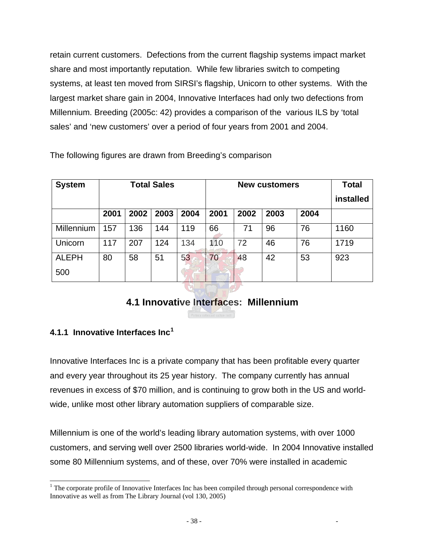retain current customers. Defections from the current flagship systems impact market share and most importantly reputation. While few libraries switch to competing systems, at least ten moved from SIRSI's flagship, Unicorn to other systems. With the largest market share gain in 2004, Innovative Interfaces had only two defections from Millennium. Breeding (2005c: 42) provides a comparison of the various ILS by 'total sales' and 'new customers' over a period of four years from 2001 and 2004.

The following figures are drawn from Breeding's comparison

| <b>System</b> |      |      | <b>Total Sales</b> |      | <b>New customers</b> |      |      |      | <b>Total</b> |
|---------------|------|------|--------------------|------|----------------------|------|------|------|--------------|
|               |      |      |                    |      |                      |      |      |      | installed    |
|               | 2001 | 2002 | 2003               | 2004 | 2001                 | 2002 | 2003 | 2004 |              |
| Millennium    | 57   | 136  | 144                | 119  | 66                   | 71   | 96   | 76   | 1160         |
| Unicorn       | 117  | 207  | 124                | 134  | 110                  | 72   | 46   | 76   | 1719         |
| <b>ALEPH</b>  | 80   | 58   | 51                 | 53   | 70                   | 48   | 42   | 53   | 923          |
| 500           |      |      |                    |      |                      |      |      |      |              |

# **4.1 Innovative Interfaces: Millennium**

#### **4.1.1 Innovative Interfaces Inc[1](#page-47-0)**

 $\overline{a}$ 

Innovative Interfaces Inc is a private company that has been profitable every quarter and every year throughout its 25 year history. The company currently has annual revenues in excess of \$70 million, and is continuing to grow both in the US and worldwide, unlike most other library automation suppliers of comparable size.

Millennium is one of the world's leading library automation systems, with over 1000 customers, and serving well over 2500 libraries world-wide. In 2004 Innovative installed some 80 Millennium systems, and of these, over 70% were installed in academic

<span id="page-47-0"></span><sup>&</sup>lt;sup>1</sup> The corporate profile of Innovative Interfaces Inc has been compiled through personal correspondence with Innovative as well as from The Library Journal (vol 130, 2005)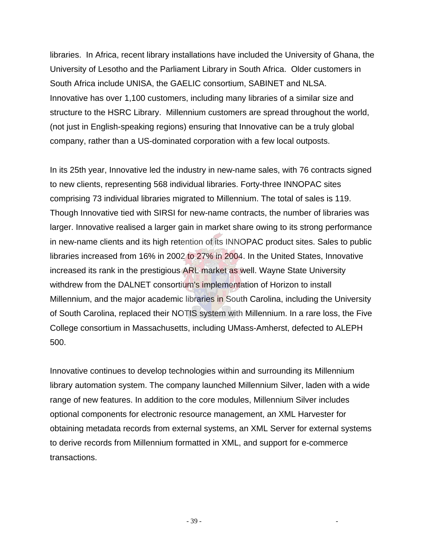libraries. In Africa, recent library installations have included the University of Ghana, the University of Lesotho and the Parliament Library in South Africa. Older customers in South Africa include UNISA, the GAELIC consortium, SABINET and NLSA. Innovative has over 1,100 customers, including many libraries of a similar size and structure to the HSRC Library. Millennium customers are spread throughout the world, (not just in English-speaking regions) ensuring that Innovative can be a truly global company, rather than a US-dominated corporation with a few local outposts.

In its 25th year, Innovative led the industry in new-name sales, with 76 contracts signed to new clients, representing 568 individual libraries. Forty-three INNOPAC sites comprising 73 individual libraries migrated to Millennium. The total of sales is 119. Though Innovative tied with SIRSI for new-name contracts, the number of libraries was larger. Innovative realised a larger gain in market share owing to its strong performance in new-name clients and its high retention of its INNOPAC product sites. Sales to public libraries increased from 16% in 2002 to 27% in 2004. In the United States, Innovative increased its rank in the prestigious ARL market as well. Wayne State University withdrew from the DALNET consortium's implementation of Horizon to install Millennium, and the major academic libraries in South Carolina, including the University of South Carolina, replaced their NOTIS system with Millennium. In a rare loss, the Five College consortium in Massachusetts, including UMass-Amherst, defected to ALEPH 500.

Innovative continues to develop technologies within and surrounding its Millennium library automation system. The company launched Millennium Silver, laden with a wide range of new features. In addition to the core modules, Millennium Silver includes optional components for electronic resource management, an XML Harvester for obtaining metadata records from external systems, an XML Server for external systems to derive records from Millennium formatted in XML, and support for e-commerce transactions.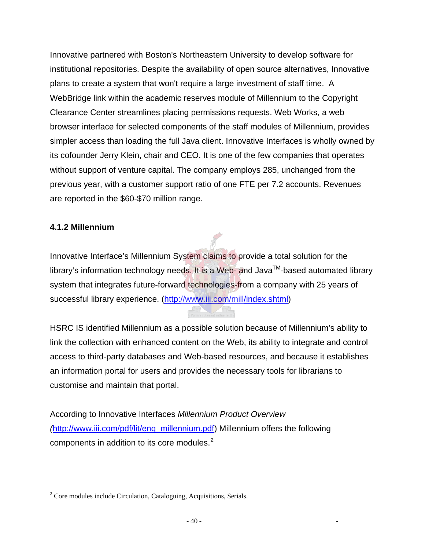Innovative partnered with Boston's Northeastern University to develop software for institutional repositories. Despite the availability of open source alternatives, Innovative plans to create a system that won't require a large investment of staff time. A WebBridge link within the academic reserves module of Millennium to the Copyright Clearance Center streamlines placing permissions requests. Web Works, a web browser interface for selected components of the staff modules of Millennium, provides simpler access than loading the full Java client. Innovative Interfaces is wholly owned by its cofounder Jerry Klein, chair and CEO. It is one of the few companies that operates without support of venture capital. The company employs 285, unchanged from the previous year, with a customer support ratio of one FTE per 7.2 accounts. Revenues are reported in the \$60-\$70 million range.

#### **4.1.2 Millennium**

Innovative Interface's Millennium System claims to provide a total solution for the library's information technology needs. It is a Web- and Java<sup>TM</sup>-based automated library system that integrates future-forward technologies-from a company with 25 years of successful library experience. (<http://www.iii.com/mill/index.shtml>)

HSRC IS identified Millennium as a possible solution because of Millennium's ability to link the collection with enhanced content on the Web, its ability to integrate and control access to third-party databases and Web-based resources, and because it establishes an information portal for users and provides the necessary tools for librarians to customise and maintain that portal.

According to Innovative Interfaces *Millennium Product Overview (*[http://www.iii.com/pdf/lit/eng\\_millennium.pdf\)](http://www.iii.com/pdf/lit/eng_millennium.pdf) Millennium offers the following components in addition to its core modules. $2$ 

<span id="page-49-0"></span> $\overline{a}$  $2^2$  Core modules include Circulation, Cataloguing, Acquisitions, Serials.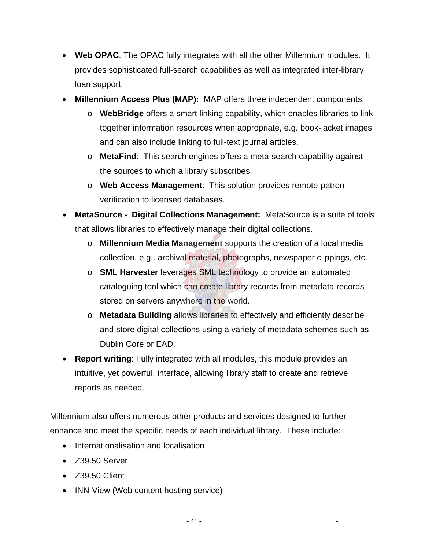- **Web OPAC**. The OPAC fully integrates with all the other Millennium modules. It provides sophisticated full-search capabilities as well as integrated inter-library loan support.
- **Millennium Access Plus (MAP):** MAP offers three independent components.
	- o **WebBridge** offers a smart linking capability, which enables libraries to link together information resources when appropriate, e.g. book-jacket images and can also include linking to full-text journal articles.
	- o **MetaFind**: This search engines offers a meta-search capability against the sources to which a library subscribes.
	- o **Web Access Management**: This solution provides remote-patron verification to licensed databases.
- **MetaSource Digital Collections Management:** MetaSource is a suite of tools that allows libraries to effectively manage their digital collections.
	- o **Millennium Media Management** supports the creation of a local media collection, e.g.. archival material, photographs, newspaper clippings, etc.
	- o **SML Harvester** leverages SML technology to provide an automated cataloguing tool which can create library records from metadata records stored on servers anywhere in the world.
	- o **Metadata Building** allows libraries to effectively and efficiently describe and store digital collections using a variety of metadata schemes such as Dublin Core or EAD.
- **Report writing**: Fully integrated with all modules, this module provides an intuitive, yet powerful, interface, allowing library staff to create and retrieve reports as needed.

Millennium also offers numerous other products and services designed to further enhance and meet the specific needs of each individual library. These include:

- Internationalisation and localisation
- Z39.50 Server
- Z39.50 Client
- INN-View (Web content hosting service)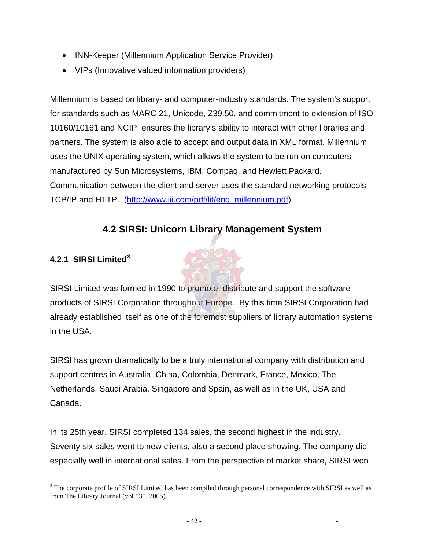- INN-Keeper (Millennium Application Service Provider)
- VIPs (Innovative valued information providers)

Millennium is based on library- and computer-industry standards. The system's support for standards such as MARC 21, Unicode, Z39.50, and commitment to extension of ISO 10160/10161 and NCIP, ensures the library's ability to interact with other libraries and partners. The system is also able to accept and output data in XML format. Millennium uses the UNIX operating system, which allows the system to be run on computers manufactured by Sun Microsystems, IBM, Compaq, and Hewlett Packard. Communication between the client and server uses the standard networking protocols TCP/IP and HTTP. ([http://www.iii.com/pdf/lit/eng\\_millennium.pdf](http://www.iii.com/pdf/lit/eng_millennium.pdf))

# **4.2 SIRSI: Unicorn Library Management System**

#### **4.2.1 SIRSI Limited[3](#page-51-0)**

SIRSI Limited was formed in 1990 to promote, distribute and support the software products of SIRSI Corporation throughout Europe. By this time SIRSI Corporation had already established itself as one of the foremost suppliers of library automation systems in the USA.

SIRSI has grown dramatically to be a truly international company with distribution and support centres in Australia, China, Colombia, Denmark, France, Mexico, The Netherlands, Saudi Arabia, Singapore and Spain, as well as in the UK, USA and Canada.

In its 25th year, SIRSI completed 134 sales, the second highest in the industry. Seventy-six sales went to new clients, also a second place showing. The company did especially well in international sales. From the perspective of market share, SIRSI won

<span id="page-51-0"></span><sup>&</sup>lt;sup>3</sup> The corporate profile of SIRSI Limited has been compiled through personal correspondence with SIRSI as well as from The Library Journal (vol 130, 2005).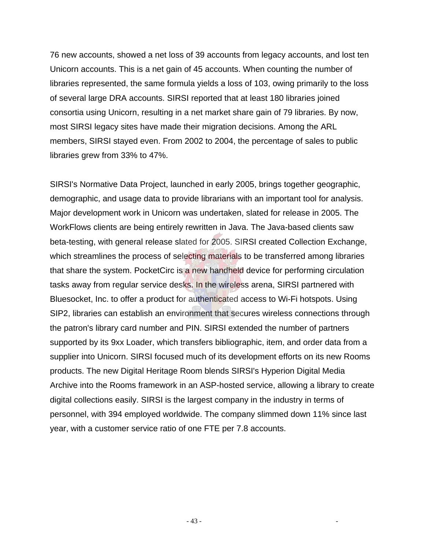76 new accounts, showed a net loss of 39 accounts from legacy accounts, and lost ten Unicorn accounts. This is a net gain of 45 accounts. When counting the number of libraries represented, the same formula yields a loss of 103, owing primarily to the loss of several large DRA accounts. SIRSI reported that at least 180 libraries joined consortia using Unicorn, resulting in a net market share gain of 79 libraries. By now, most SIRSI legacy sites have made their migration decisions. Among the ARL members, SIRSI stayed even. From 2002 to 2004, the percentage of sales to public libraries grew from 33% to 47%.

SIRSI's Normative Data Project, launched in early 2005, brings together geographic, demographic, and usage data to provide librarians with an important tool for analysis. Major development work in Unicorn was undertaken, slated for release in 2005. The WorkFlows clients are being entirely rewritten in Java. The Java-based clients saw beta-testing, with general release slated for 2005. SIRSI created Collection Exchange, which streamlines the process of selecting materials to be transferred among libraries that share the system. PocketCirc is a new handheld device for performing circulation tasks away from regular service desks. In the wireless arena, SIRSI partnered with Bluesocket, Inc. to offer a product for authenticated access to Wi-Fi hotspots. Using SIP2, libraries can establish an environment that secures wireless connections through the patron's library card number and PIN. SIRSI extended the number of partners supported by its 9xx Loader, which transfers bibliographic, item, and order data from a supplier into Unicorn. SIRSI focused much of its development efforts on its new Rooms products. The new Digital Heritage Room blends SIRSI's Hyperion Digital Media Archive into the Rooms framework in an ASP-hosted service, allowing a library to create digital collections easily. SIRSI is the largest company in the industry in terms of personnel, with 394 employed worldwide. The company slimmed down 11% since last year, with a customer service ratio of one FTE per 7.8 accounts.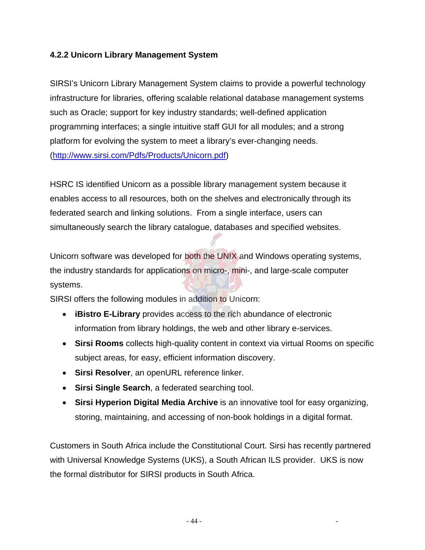#### **4.2.2 Unicorn Library Management System**

SIRSI's Unicorn Library Management System claims to provide a powerful technology infrastructure for libraries, offering scalable relational database management systems such as Oracle; support for key industry standards; well-defined application programming interfaces; a single intuitive staff GUI for all modules; and a strong platform for evolving the system to meet a library's ever-changing needs. (<http://www.sirsi.com/Pdfs/Products/Unicorn.pdf>)

HSRC IS identified Unicorn as a possible library management system because it enables access to all resources, both on the shelves and electronically through its federated search and linking solutions. From a single interface, users can simultaneously search the library catalogue, databases and specified websites.

Unicorn software was developed for both the UNIX and Windows operating systems, the industry standards for applications on micro-, mini-, and large-scale computer systems.

SIRSI offers the following modules in addition to Unicorn:

- **iBistro E-Library** provides access to the rich abundance of electronic information from library holdings, the web and other library e-services.
- **Sirsi Rooms** collects high-quality content in context via virtual Rooms on specific subject areas, for easy, efficient information discovery.
- **Sirsi Resolver**, an openURL reference linker.
- **Sirsi Single Search**, a federated searching tool.
- **Sirsi Hyperion Digital Media Archive** is an innovative tool for easy organizing, storing, maintaining, and accessing of non-book holdings in a digital format.

Customers in South Africa include the Constitutional Court. Sirsi has recently partnered with Universal Knowledge Systems (UKS), a South African ILS provider. UKS is now the formal distributor for SIRSI products in South Africa.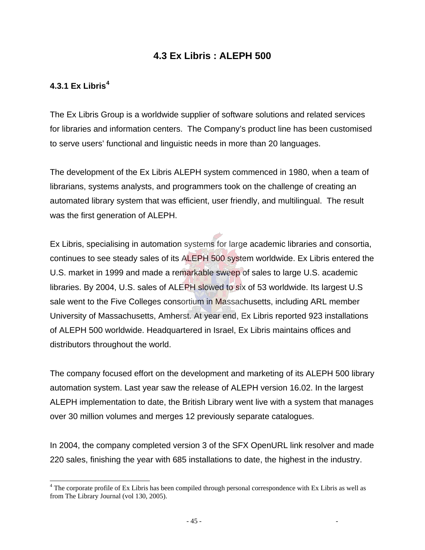### **4.3 Ex Libris : ALEPH 500**

#### **4.3.1 Ex Libris[4](#page-54-0)**

 $\overline{a}$ 

The Ex Libris Group is a worldwide supplier of software solutions and related services for libraries and information centers. The Company's product line has been customised to serve users' functional and linguistic needs in more than 20 languages.

The development of the Ex Libris ALEPH system commenced in 1980, when a team of librarians, systems analysts, and programmers took on the challenge of creating an automated library system that was efficient, user friendly, and multilingual. The result was the first generation of ALEPH.

Ex Libris, specialising in automation systems for large academic libraries and consortia, continues to see steady sales of its ALEPH 500 system worldwide. Ex Libris entered the U.S. market in 1999 and made a remarkable sweep of sales to large U.S. academic libraries. By 2004, U.S. sales of ALEPH slowed to six of 53 worldwide. Its largest U.S sale went to the Five Colleges consortium in Massachusetts, including ARL member University of Massachusetts, Amherst. At year end, Ex Libris reported 923 installations of ALEPH 500 worldwide. Headquartered in Israel, Ex Libris maintains offices and distributors throughout the world.

The company focused effort on the development and marketing of its ALEPH 500 library automation system. Last year saw the release of ALEPH version 16.02. In the largest ALEPH implementation to date, the British Library went live with a system that manages over 30 million volumes and merges 12 previously separate catalogues.

In 2004, the company completed version 3 of the SFX OpenURL link resolver and made 220 sales, finishing the year with 685 installations to date, the highest in the industry.

<span id="page-54-0"></span><sup>&</sup>lt;sup>4</sup> The corporate profile of Ex Libris has been compiled through personal correspondence with Ex Libris as well as from The Library Journal (vol 130, 2005).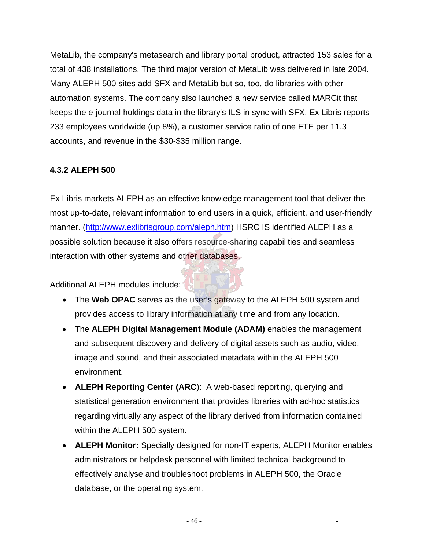MetaLib, the company's metasearch and library portal product, attracted 153 sales for a total of 438 installations. The third major version of MetaLib was delivered in late 2004. Many ALEPH 500 sites add SFX and MetaLib but so, too, do libraries with other automation systems. The company also launched a new service called MARCit that keeps the e-journal holdings data in the library's ILS in sync with SFX. Ex Libris reports 233 employees worldwide (up 8%), a customer service ratio of one FTE per 11.3 accounts, and revenue in the \$30-\$35 million range.

#### **4.3.2 ALEPH 500**

Ex Libris markets ALEPH as an effective knowledge management tool that deliver the most up-to-date, relevant information to end users in a quick, efficient, and user-friendly manner. [\(http://www.exlibrisgroup.com/aleph.htm\)](http://www.exlibrisgroup.com/aleph.htm) HSRC IS identified ALEPH as a possible solution because it also offers resource-sharing capabilities and seamless interaction with other systems and other databases.

Additional ALEPH modules include:

- The **Web OPAC** serves as the user's gateway to the ALEPH 500 system and provides access to library information at any time and from any location.
- The **ALEPH Digital Management Module (ADAM)** enables the management and subsequent discovery and delivery of digital assets such as audio, video, image and sound, and their associated metadata within the ALEPH 500 environment.
- **ALEPH Reporting Center (ARC**): A web-based reporting, querying and statistical generation environment that provides libraries with ad-hoc statistics regarding virtually any aspect of the library derived from information contained within the ALEPH 500 system.
- **ALEPH Monitor:** Specially designed for non-IT experts, ALEPH Monitor enables administrators or helpdesk personnel with limited technical background to effectively analyse and troubleshoot problems in ALEPH 500, the Oracle database, or the operating system.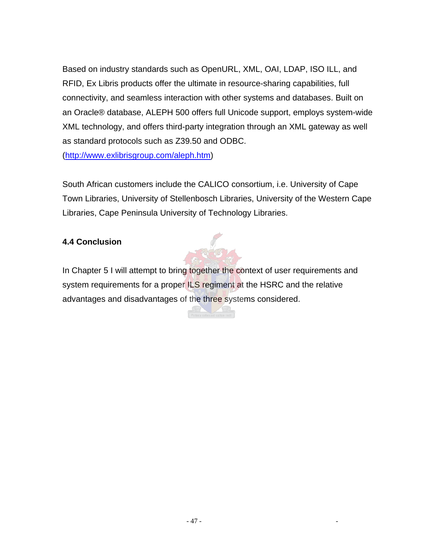Based on industry standards such as OpenURL, XML, OAI, LDAP, ISO ILL, and RFID, Ex Libris products offer the ultimate in resource-sharing capabilities, full connectivity, and seamless interaction with other systems and databases. Built on an Oracle® database, ALEPH 500 offers full Unicode support, employs system-wide XML technology, and offers third-party integration through an XML gateway as well as standard protocols such as Z39.50 and ODBC.

(<http://www.exlibrisgroup.com/aleph.htm>)

South African customers include the CALICO consortium, i.e. University of Cape Town Libraries, University of Stellenbosch Libraries, University of the Western Cape Libraries, Cape Peninsula University of Technology Libraries.

#### **4.4 Conclusion**

In Chapter 5 I will attempt to bring together the context of user requirements and system requirements for a proper ILS regiment at the HSRC and the relative advantages and disadvantages of the three systems considered.

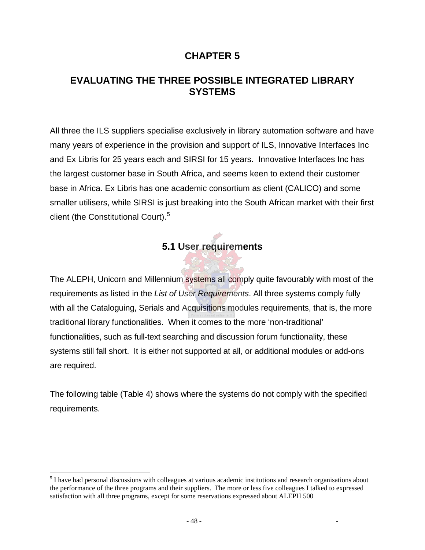### **CHAPTER 5**

# **EVALUATING THE THREE POSSIBLE INTEGRATED LIBRARY SYSTEMS**

All three the ILS suppliers specialise exclusively in library automation software and have many years of experience in the provision and support of ILS, Innovative Interfaces Inc and Ex Libris for 25 years each and SIRSI for 15 years. Innovative Interfaces Inc has the largest customer base in South Africa, and seems keen to extend their customer base in Africa. Ex Libris has one academic consortium as client (CALICO) and some smaller utilisers, while SIRSI is just breaking into the South African market with their first client (the Constitutional Court).<sup>[5](#page-57-0)</sup>

# **5.1 User requirements**

The ALEPH, Unicorn and Millennium systems all comply quite favourably with most of the requirements as listed in the *List of User Requirements*. All three systems comply fully with all the Cataloguing, Serials and Acquisitions modules requirements, that is, the more traditional library functionalities. When it comes to the more 'non-traditional' functionalities, such as full-text searching and discussion forum functionality, these systems still fall short. It is either not supported at all, or additional modules or add-ons are required.

The following table (Table 4) shows where the systems do not comply with the specified requirements.

l

<span id="page-57-0"></span><sup>&</sup>lt;sup>5</sup> I have had personal discussions with colleagues at various academic institutions and research organisations about the performance of the three programs and their suppliers. The more or less five colleagues I talked to expressed satisfaction with all three programs, except for some reservations expressed about ALEPH 500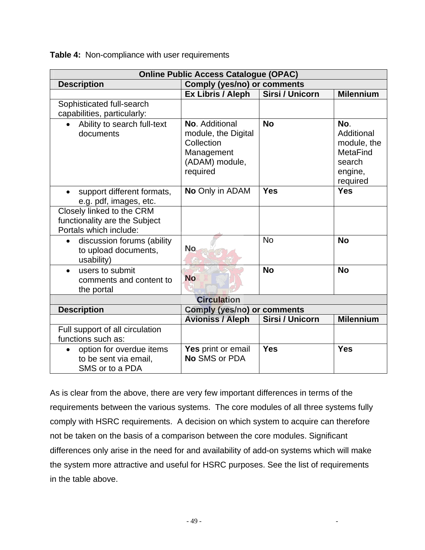**Table 4:** Non-compliance with user requirements

| <b>Online Public Access Catalogue (OPAC)</b>                                         |                                                                                                 |                 |                                                                               |  |  |  |
|--------------------------------------------------------------------------------------|-------------------------------------------------------------------------------------------------|-----------------|-------------------------------------------------------------------------------|--|--|--|
| <b>Description</b>                                                                   | <b>Comply (yes/no) or comments</b>                                                              |                 |                                                                               |  |  |  |
|                                                                                      | Ex Libris / Aleph                                                                               | Sirsi / Unicorn | <b>Milennium</b>                                                              |  |  |  |
| Sophisticated full-search<br>capabilities, particularly:                             |                                                                                                 |                 |                                                                               |  |  |  |
| Ability to search full-text<br>documents                                             | No. Additional<br>module, the Digital<br>Collection<br>Management<br>(ADAM) module,<br>required | <b>No</b>       | No.<br>Additional<br>module, the<br>MetaFind<br>search<br>engine,<br>required |  |  |  |
| support different formats,<br>$\bullet$<br>e.g. pdf, images, etc.                    | No Only in ADAM                                                                                 | <b>Yes</b>      | <b>Yes</b>                                                                    |  |  |  |
| Closely linked to the CRM<br>functionality are the Subject<br>Portals which include: |                                                                                                 |                 |                                                                               |  |  |  |
| discussion forums (ability<br>$\bullet$<br>to upload documents,<br>usability)        | <b>No</b>                                                                                       | <b>No</b>       | <b>No</b>                                                                     |  |  |  |
| users to submit<br>$\bullet$<br>comments and content to<br>the portal                | <b>No</b>                                                                                       | <b>No</b>       | <b>No</b>                                                                     |  |  |  |
|                                                                                      | <b>Circulation</b>                                                                              |                 |                                                                               |  |  |  |
| <b>Description</b>                                                                   | <b>Comply (yes/no) or comments</b>                                                              |                 |                                                                               |  |  |  |
|                                                                                      | <b>Avioniss / Aleph</b>                                                                         | Sirsi / Unicorn | <b>Milennium</b>                                                              |  |  |  |
| Full support of all circulation<br>functions such as:                                |                                                                                                 |                 |                                                                               |  |  |  |
| option for overdue items<br>$\bullet$<br>to be sent via email,<br>SMS or to a PDA    | Yes print or email<br>No SMS or PDA                                                             | <b>Yes</b>      | <b>Yes</b>                                                                    |  |  |  |

As is clear from the above, there are very few important differences in terms of the requirements between the various systems. The core modules of all three systems fully comply with HSRC requirements. A decision on which system to acquire can therefore not be taken on the basis of a comparison between the core modules. Significant differences only arise in the need for and availability of add-on systems which will make the system more attractive and useful for HSRC purposes. See the list of requirements in the table above.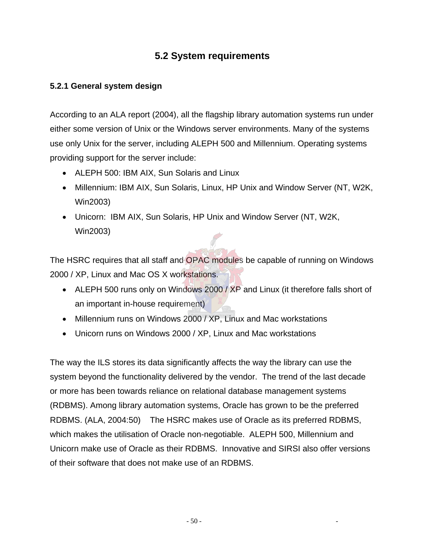# **5.2 System requirements**

#### **5.2.1 General system design**

According to an ALA report (2004), all the flagship library automation systems run under either some version of Unix or the Windows server environments. Many of the systems use only Unix for the server, including ALEPH 500 and Millennium. Operating systems providing support for the server include:

- ALEPH 500: IBM AIX, Sun Solaris and Linux
- Millennium: IBM AIX, Sun Solaris, Linux, HP Unix and Window Server (NT, W2K, Win2003)
- Unicorn: IBM AIX, Sun Solaris, HP Unix and Window Server (NT, W2K, Win2003)

The HSRC requires that all staff and OPAC modules be capable of running on Windows 2000 / XP, Linux and Mac OS X workstations.

- ALEPH 500 runs only on Windows 2000 / XP and Linux (it therefore falls short of an important in-house requirement)
- Millennium runs on Windows 2000 / XP, Linux and Mac workstations
- Unicorn runs on Windows 2000 / XP, Linux and Mac workstations

The way the ILS stores its data significantly affects the way the library can use the system beyond the functionality delivered by the vendor. The trend of the last decade or more has been towards reliance on relational database management systems (RDBMS). Among library automation systems, Oracle has grown to be the preferred RDBMS. (ALA, 2004:50) The HSRC makes use of Oracle as its preferred RDBMS, which makes the utilisation of Oracle non-negotiable. ALEPH 500, Millennium and Unicorn make use of Oracle as their RDBMS. Innovative and SIRSI also offer versions of their software that does not make use of an RDBMS.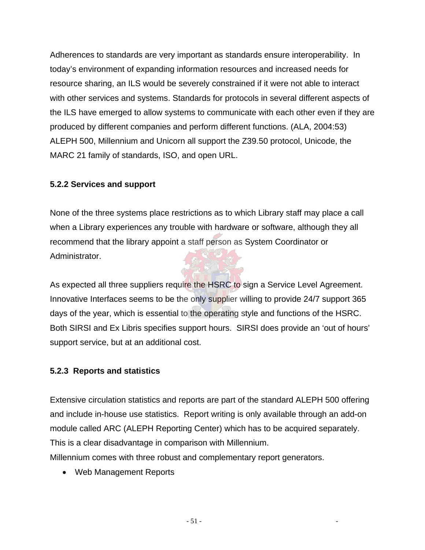Adherences to standards are very important as standards ensure interoperability. In today's environment of expanding information resources and increased needs for resource sharing, an ILS would be severely constrained if it were not able to interact with other services and systems. Standards for protocols in several different aspects of the ILS have emerged to allow systems to communicate with each other even if they are produced by different companies and perform different functions. (ALA, 2004:53) ALEPH 500, Millennium and Unicorn all support the Z39.50 protocol, Unicode, the MARC 21 family of standards, ISO, and open URL.

#### **5.2.2 Services and support**

None of the three systems place restrictions as to which Library staff may place a call when a Library experiences any trouble with hardware or software, although they all recommend that the library appoint a staff person as System Coordinator or Administrator.

As expected all three suppliers require the HSRC to sign a Service Level Agreement. Innovative Interfaces seems to be the only supplier willing to provide 24/7 support 365 days of the year, which is essential to the operating style and functions of the HSRC. Both SIRSI and Ex Libris specifies support hours. SIRSI does provide an 'out of hours' support service, but at an additional cost.

#### **5.2.3 Reports and statistics**

Extensive circulation statistics and reports are part of the standard ALEPH 500 offering and include in-house use statistics. Report writing is only available through an add-on module called ARC (ALEPH Reporting Center) which has to be acquired separately. This is a clear disadvantage in comparison with Millennium. Millennium comes with three robust and complementary report generators.

• Web Management Reports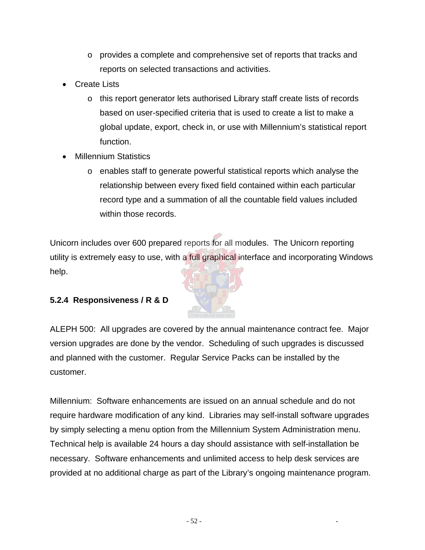- $\circ$  provides a complete and comprehensive set of reports that tracks and reports on selected transactions and activities.
- Create Lists
	- o this report generator lets authorised Library staff create lists of records based on user-specified criteria that is used to create a list to make a global update, export, check in, or use with Millennium's statistical report function.
- **Millennium Statistics** 
	- o enables staff to generate powerful statistical reports which analyse the relationship between every fixed field contained within each particular record type and a summation of all the countable field values included within those records.

Unicorn includes over 600 prepared reports for all modules. The Unicorn reporting utility is extremely easy to use, with a full graphical interface and incorporating Windows help.

### **5.2.4 Responsiveness / R & D**



Millennium: Software enhancements are issued on an annual schedule and do not require hardware modification of any kind. Libraries may self-install software upgrades by simply selecting a menu option from the Millennium System Administration menu. Technical help is available 24 hours a day should assistance with self-installation be necessary. Software enhancements and unlimited access to help desk services are provided at no additional charge as part of the Library's ongoing maintenance program.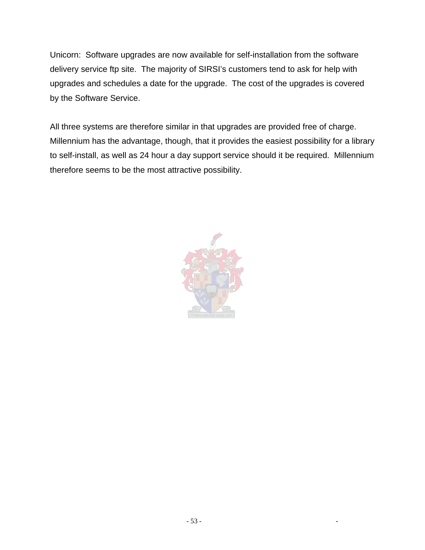Unicorn: Software upgrades are now available for self-installation from the software delivery service ftp site. The majority of SIRSI's customers tend to ask for help with upgrades and schedules a date for the upgrade. The cost of the upgrades is covered by the Software Service.

All three systems are therefore similar in that upgrades are provided free of charge. Millennium has the advantage, though, that it provides the easiest possibility for a library to self-install, as well as 24 hour a day support service should it be required. Millennium therefore seems to be the most attractive possibility.

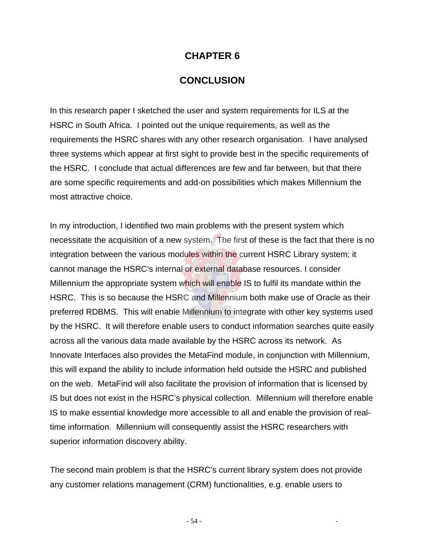#### **CHAPTER 6**

#### **CONCLUSION**

In this research paper I sketched the user and system requirements for ILS at the HSRC in South Africa. I pointed out the unique requirements, as well as the requirements the HSRC shares with any other research organisation. I have analysed three systems which appear at first sight to provide best in the specific requirements of the HSRC. I conclude that actual differences are few and far between, but that there are some specific requirements and add-on possibilities which makes Millennium the most attractive choice.

In my introduction, I identified two main problems with the present system which necessitate the acquisition of a new system. The first of these is the fact that there is no integration between the various modules within the current HSRC Library system; it cannot manage the HSRC's internal or external database resources. I consider Millennium the appropriate system which will enable IS to fulfil its mandate within the HSRC. This is so because the HSRC and Millennium both make use of Oracle as their preferred RDBMS. This will enable Millennium to integrate with other key systems used by the HSRC. It will therefore enable users to conduct information searches quite easily across all the various data made available by the HSRC across its network. As Innovate Interfaces also provides the MetaFind module, in conjunction with Millennium, this will expand the ability to include information held outside the HSRC and published on the web. MetaFind will also facilitate the provision of information that is licensed by IS but does not exist in the HSRC's physical collection. Millennium will therefore enable IS to make essential knowledge more accessible to all and enable the provision of realtime information. Millennium will consequently assist the HSRC researchers with superior information discovery ability.

The second main problem is that the HSRC's current library system does not provide any customer relations management (CRM) functionalities, e.g. enable users to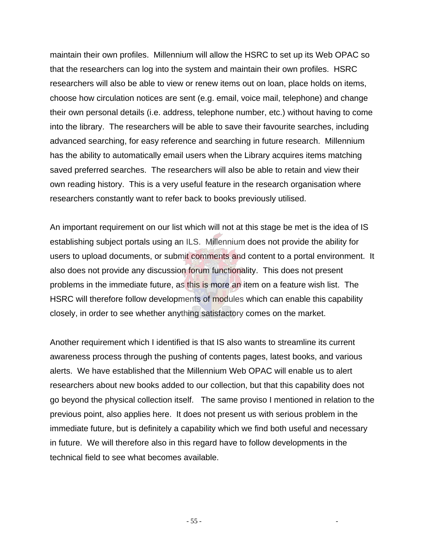maintain their own profiles. Millennium will allow the HSRC to set up its Web OPAC so that the researchers can log into the system and maintain their own profiles. HSRC researchers will also be able to view or renew items out on loan, place holds on items, choose how circulation notices are sent (e.g. email, voice mail, telephone) and change their own personal details (i.e. address, telephone number, etc.) without having to come into the library. The researchers will be able to save their favourite searches, including advanced searching, for easy reference and searching in future research. Millennium has the ability to automatically email users when the Library acquires items matching saved preferred searches. The researchers will also be able to retain and view their own reading history. This is a very useful feature in the research organisation where researchers constantly want to refer back to books previously utilised.

An important requirement on our list which will not at this stage be met is the idea of IS establishing subject portals using an ILS. Millennium does not provide the ability for users to upload documents, or submit comments and content to a portal environment. It also does not provide any discussion forum functionality. This does not present problems in the immediate future, as this is more an item on a feature wish list. The HSRC will therefore follow developments of modules which can enable this capability closely, in order to see whether anything satisfactory comes on the market.

Another requirement which I identified is that IS also wants to streamline its current awareness process through the pushing of contents pages, latest books, and various alerts. We have established that the Millennium Web OPAC will enable us to alert researchers about new books added to our collection, but that this capability does not go beyond the physical collection itself. The same proviso I mentioned in relation to the previous point, also applies here. It does not present us with serious problem in the immediate future, but is definitely a capability which we find both useful and necessary in future. We will therefore also in this regard have to follow developments in the technical field to see what becomes available.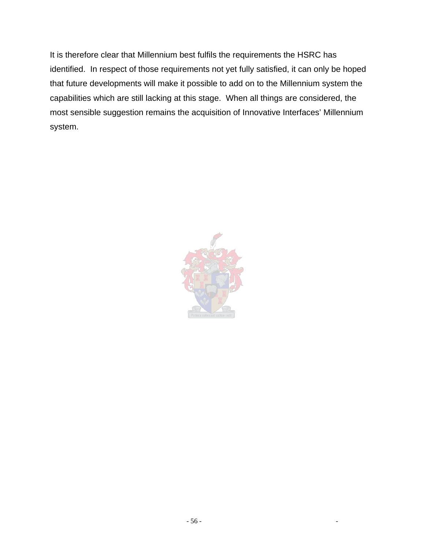It is therefore clear that Millennium best fulfils the requirements the HSRC has identified. In respect of those requirements not yet fully satisfied, it can only be hoped that future developments will make it possible to add on to the Millennium system the capabilities which are still lacking at this stage. When all things are considered, the most sensible suggestion remains the acquisition of Innovative Interfaces' Millennium system.

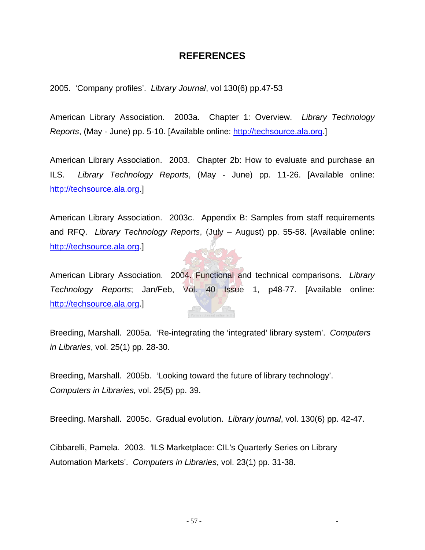#### **REFERENCES**

2005. 'Company profiles'. *Library Journal*, vol 130(6) pp.47-53

American Library Association. 2003a. Chapter 1: Overview. *Library Technology Reports*, (May - June) pp. 5-10. [Available online: [http://techsource.ala.org.](http://techsource.ala.org/)]

American Library Association. 2003. Chapter 2b: How to evaluate and purchase an ILS. *Library Technology Reports*, (May - June) pp. 11-26. [Available online: [http://techsource.ala.org.](http://techsource.ala.org/)]

American Library Association. 2003c. Appendix B: Samples from staff requirements and RFQ. *Library Technology Reports*, (July – August) pp. 55-58. [Available online: [http://techsource.ala.org.](http://techsource.ala.org/)]

American Library Association. 2004. Functional and technical comparisons. *Library Technology Reports*; Jan/Feb, Vol. 40 Issue 1, p48-77. [Available online: [http://techsource.ala.org.](http://techsource.ala.org/)]

Breeding, Marshall. 2005a. 'Re-integrating the 'integrated' library system'. *Computers in Libraries*, vol. 25(1) pp. 28-30.

Breeding, Marshall. 2005b. 'Looking toward the future of library technology'. *Computers in Libraries,* vol. 25(5) pp. 39.

Breeding. Marshall. 2005c. Gradual evolution. *Library journal*, vol. 130(6) pp. 42-47.

Cibbarelli, Pamela. 2003. *'*ILS Marketplace: CIL's Quarterly Series on Library Automation Markets'. *Computers in Libraries*, vol. 23(1) pp. 31-38.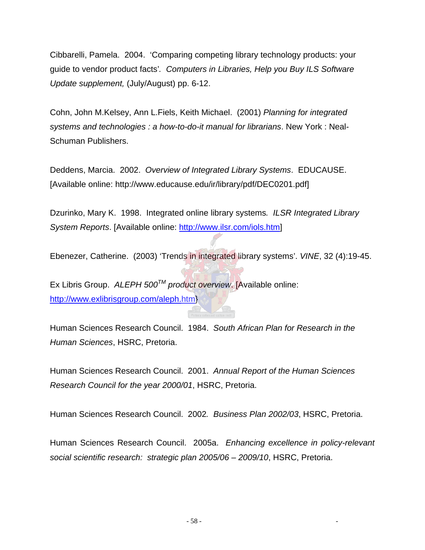Cibbarelli, Pamela. 2004. 'Comparing competing library technology products: your guide to vendor product facts'*. Computers in Libraries, Help you Buy ILS Software Update supplement,* (July/August) pp. 6-12.

Cohn, John M.Kelsey, Ann L.Fiels, Keith Michael. (2001) *Planning for integrated systems and technologies : a how-to-do-it manual for librarians*. New York : Neal-Schuman Publishers.

Deddens, Marcia. 2002. *Overview of Integrated Library Systems*. EDUCAUSE. [Available online: http://www.educause.edu/ir/library/pdf/DEC0201.pdf]

Dzurinko, Mary K. 1998. Integrated online library systems*. ILSR Integrated Library System Reports*. [Available online:<http://www.ilsr.com/iols.htm>]

Ebenezer, Catherine. (2003) 'Trends in integrated library systems'. *VINE*, 32 (4):19-45.

Ex Libris Group. *ALEPH 500TM product overview*. [Available online: <http://www.exlibrisgroup.com/aleph.htm>}

Human Sciences Research Council. 1984. *South African Plan for Research in the Human Sciences*, HSRC, Pretoria.

Human Sciences Research Council. 2001. *Annual Report of the Human Sciences Research Council for the year 2000/01*, HSRC, Pretoria.

Human Sciences Research Council. 2002*. Business Plan 2002/03*, HSRC, Pretoria.

Human Sciences Research Council. 2005a. *Enhancing excellence in policy-relevant social scientific research: strategic plan 2005/06 – 2009/10*, HSRC, Pretoria.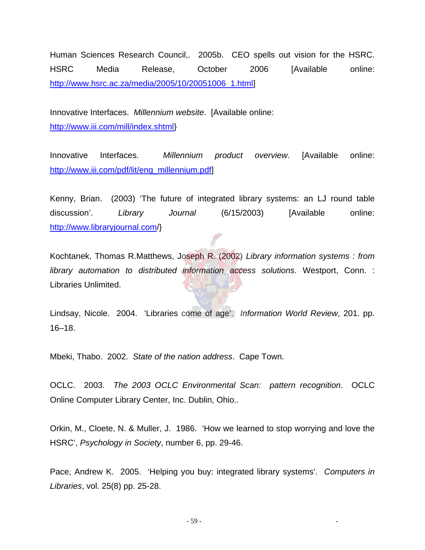Human Sciences Research Council,. 2005b. CEO spells out vision for the HSRC. HSRC Media Release, October 2006 [Available online: [http://www.hsrc.ac.za/media/2005/10/20051006\\_1.html\]](http://www.hsrc.ac.za/media/2005/10/20051006_1.html)

Innovative Interfaces. *Millennium website*. [Available online: [http://www.iii.com/mill/index.shtml}](http://www.iii.com/mill/index.shtml)

Innovative Interfaces. *Millennium product overview*. [Available online: [http://www.iii.com/pdf/lit/eng\\_millennium.pdf\]](http://www.iii.com/pdf/lit/eng_millennium.pdf)

Kenny, Brian. (2003) 'The future of integrated library systems: an LJ round table discussion'. *Library Journal* (6/15/2003) [Available online: [http://www.libraryjournal.com](http://www.libraryjournal.com/)/}

Kochtanek, Thomas R.Matthews, Joseph R. (2002) *Library information systems : from library automation to distributed information access solutions*. Westport, Conn. : Libraries Unlimited.

Lindsay, Nicole. 2004. 'Libraries come of age'. *Information World Review*, 201. pp. 16–18.

Mbeki, Thabo. 2002. *State of the nation address*. Cape Town.

OCLC. 2003. *The 2003 OCLC Environmental Scan: pattern recognition*. OCLC Online Computer Library Center, Inc. Dublin, Ohio..

Orkin, M., Cloete, N. & Muller, J. 1986. 'How we learned to stop worrying and love the HSRC', *Psychology in Society*, number 6, pp. 29-46.

Pace, Andrew K. 2005. 'Helping you buy: integrated library systems'. *Computers in Libraries*, vol. 25(8) pp. 25-28.